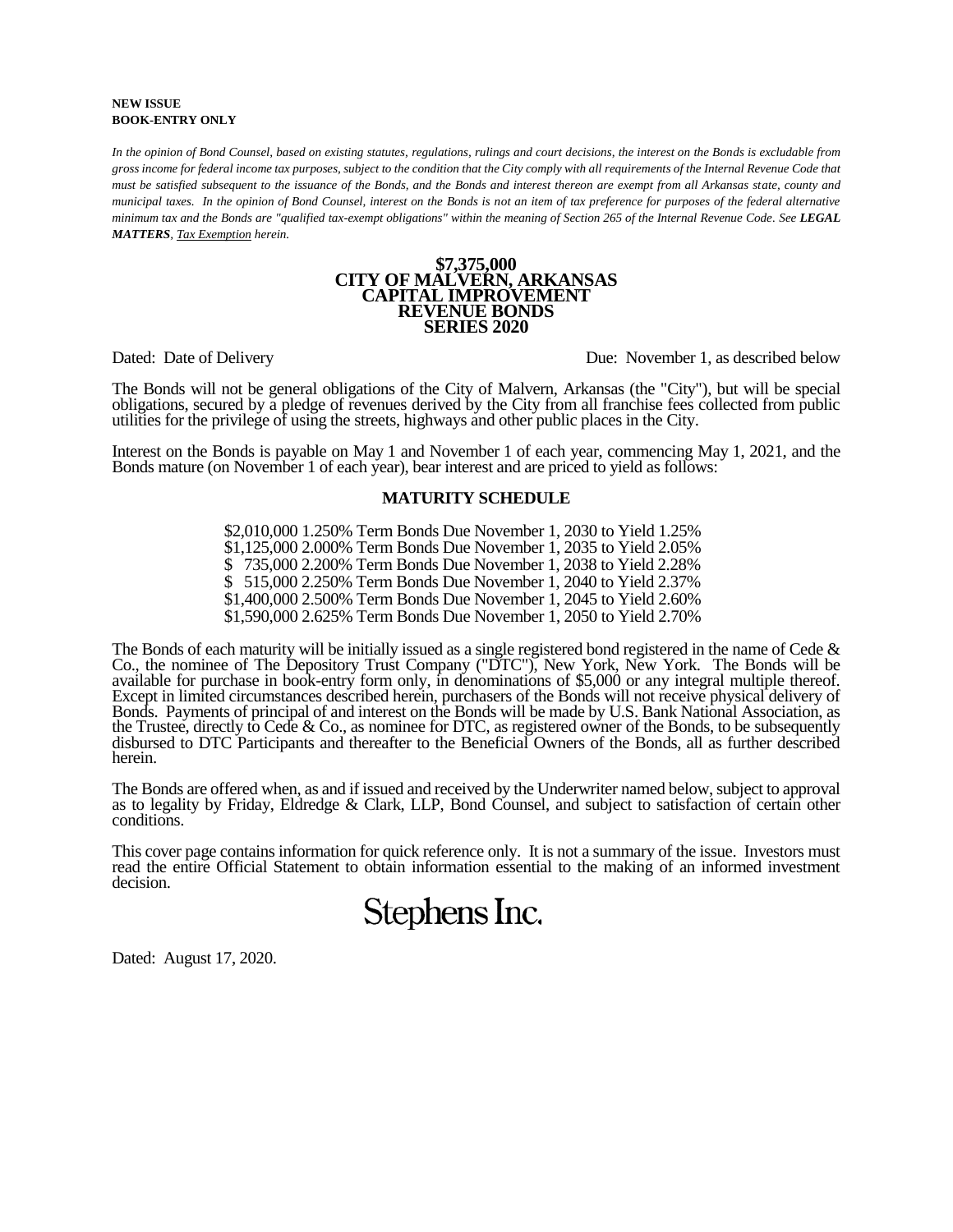#### **NEW ISSUE BOOK-ENTRY ONLY**

*In the opinion of Bond Counsel, based on existing statutes, regulations, rulings and court decisions, the interest on the Bonds is excludable from gross income for federal income tax purposes, subject to the condition that the City comply with all requirements of the Internal Revenue Code that must be satisfied subsequent to the issuance of the Bonds, and the Bonds and interest thereon are exempt from all Arkansas state, county and municipal taxes. In the opinion of Bond Counsel, interest on the Bonds is not an item of tax preference for purposes of the federal alternative minimum tax and the Bonds are "qualified tax-exempt obligations" within the meaning of Section 265 of the Internal Revenue Code. See LEGAL MATTERS, Tax Exemption herein.*

#### **\$7,375,000 CITY OF MALVERN, ARKANSAS CAPITAL IMPROVEMENT REVENUE BONDS SERIES 2020**

Dated: Date of Delivery Due: November 1, as described below

The Bonds will not be general obligations of the City of Malvern, Arkansas (the "City"), but will be special obligations, secured by a pledge of revenues derived by the City from all franchise fees collected from public utilities for the privilege of using the streets, highways and other public places in the City.

Interest on the Bonds is payable on May 1 and November 1 of each year, commencing May 1, 2021, and the Bonds mature (on November 1 of each year), bear interest and are priced to yield as follows:

### **MATURITY SCHEDULE**

\$2,010,000 1.250% Term Bonds Due November 1, 2030 to Yield 1.25% \$1,125,000 2.000% Term Bonds Due November 1, 2035 to Yield 2.05% \$ 735,000 2.200% Term Bonds Due November 1, 2038 to Yield 2.28% \$ 515,000 2.250% Term Bonds Due November 1, 2040 to Yield 2.37% \$1,400,000 2.500% Term Bonds Due November 1, 2045 to Yield 2.60% \$1,590,000 2.625% Term Bonds Due November 1, 2050 to Yield 2.70%

The Bonds of each maturity will be initially issued as a single registered bond registered in the name of Cede & Co., the nominee of The Depository Trust Company ("DTC"), New York, New York. The Bonds will be available for purchase in book-entry form only, in denominations of \$5,000 or any integral multiple thereof. Except in limited circumstances described herein, purchasers of the Bonds will not receive physical delivery of Bonds. Payments of principal of and interest on the Bonds will be made by U.S. Bank National Association, as the Trustee, directly to Cede  $& Co.,$  as nominee for DTC, as registered owner of the Bonds, to be subsequently disbursed to DTC Participants and thereafter to the Beneficial Owners of the Bonds, all as further described herein.

The Bonds are offered when, as and if issued and received by the Underwriter named below, subject to approval as to legality by Friday, Eldredge & Clark, LLP, Bond Counsel, and subject to satisfaction of certain other conditions.

This cover page contains information for quick reference only. It is not a summary of the issue. Investors must read the entire Official Statement to obtain information essential to the making of an informed investment decision.

Stephens Inc.

Dated: August 17, 2020.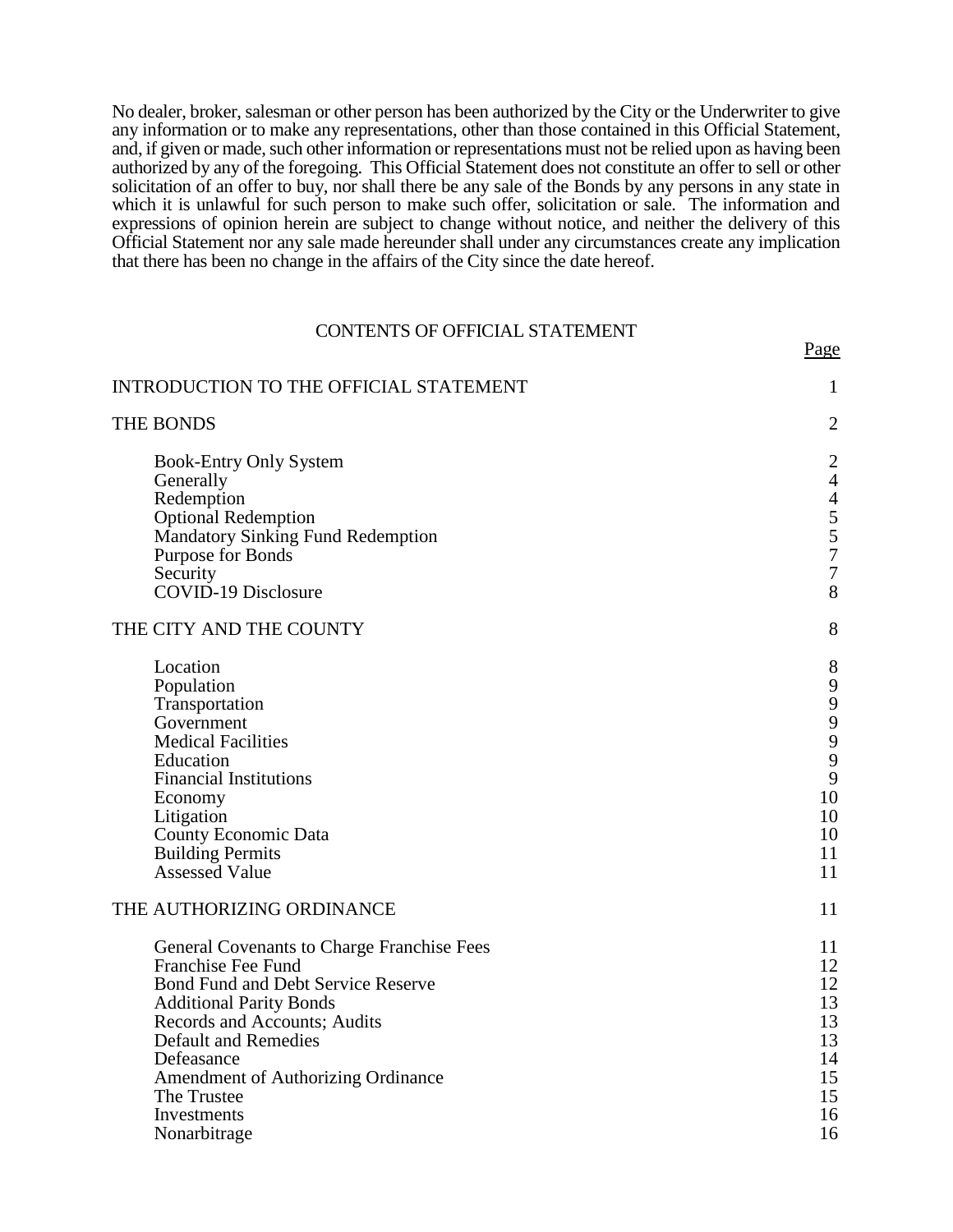No dealer, broker, salesman or other person has been authorized by the City or the Underwriter to give any information or to make any representations, other than those contained in this Official Statement, and, if given or made, such other information or representations must not be relied upon as having been authorized by any of the foregoing. This Official Statement does not constitute an offer to sell or other solicitation of an offer to buy, nor shall there be any sale of the Bonds by any persons in any state in which it is unlawful for such person to make such offer, solicitation or sale. The information and expressions of opinion herein are subject to change without notice, and neither the delivery of this Official Statement nor any sale made hereunder shall under any circumstances create any implication that there has been no change in the affairs of the City since the date hereof.

## CONTENTS OF OFFICIAL STATEMENT

Page

| INTRODUCTION TO THE OFFICIAL STATEMENT                                                                                                                                                                                                                                                                                  | $\mathbf{1}$                                                                                            |
|-------------------------------------------------------------------------------------------------------------------------------------------------------------------------------------------------------------------------------------------------------------------------------------------------------------------------|---------------------------------------------------------------------------------------------------------|
| <b>THE BONDS</b>                                                                                                                                                                                                                                                                                                        | $\overline{2}$                                                                                          |
| <b>Book-Entry Only System</b><br>Generally<br>Redemption<br><b>Optional Redemption</b><br><b>Mandatory Sinking Fund Redemption</b><br>Purpose for Bonds<br>Security<br>COVID-19 Disclosure                                                                                                                              | $\overline{c}$<br>$\overline{4}$<br>$\overline{4}$<br>5<br>5<br>$\overline{7}$<br>$\boldsymbol{7}$<br>8 |
| THE CITY AND THE COUNTY                                                                                                                                                                                                                                                                                                 | 8                                                                                                       |
| Location<br>Population<br>Transportation<br>Government<br><b>Medical Facilities</b><br>Education<br><b>Financial Institutions</b><br>Economy<br>Litigation<br>County Economic Data<br><b>Building Permits</b><br><b>Assessed Value</b>                                                                                  | 8<br>9<br>9<br>$\mathbf{9}$<br>9<br>9<br>9<br>10<br>10<br>10<br>11<br>11                                |
| THE AUTHORIZING ORDINANCE                                                                                                                                                                                                                                                                                               | 11                                                                                                      |
| General Covenants to Charge Franchise Fees<br><b>Franchise Fee Fund</b><br>Bond Fund and Debt Service Reserve<br><b>Additional Parity Bonds</b><br>Records and Accounts; Audits<br><b>Default and Remedies</b><br>Defeasance<br><b>Amendment of Authorizing Ordinance</b><br>The Trustee<br>Investments<br>Nonarbitrage | 11<br>12<br>12<br>13<br>13<br>13<br>14<br>15<br>15<br>16<br>16                                          |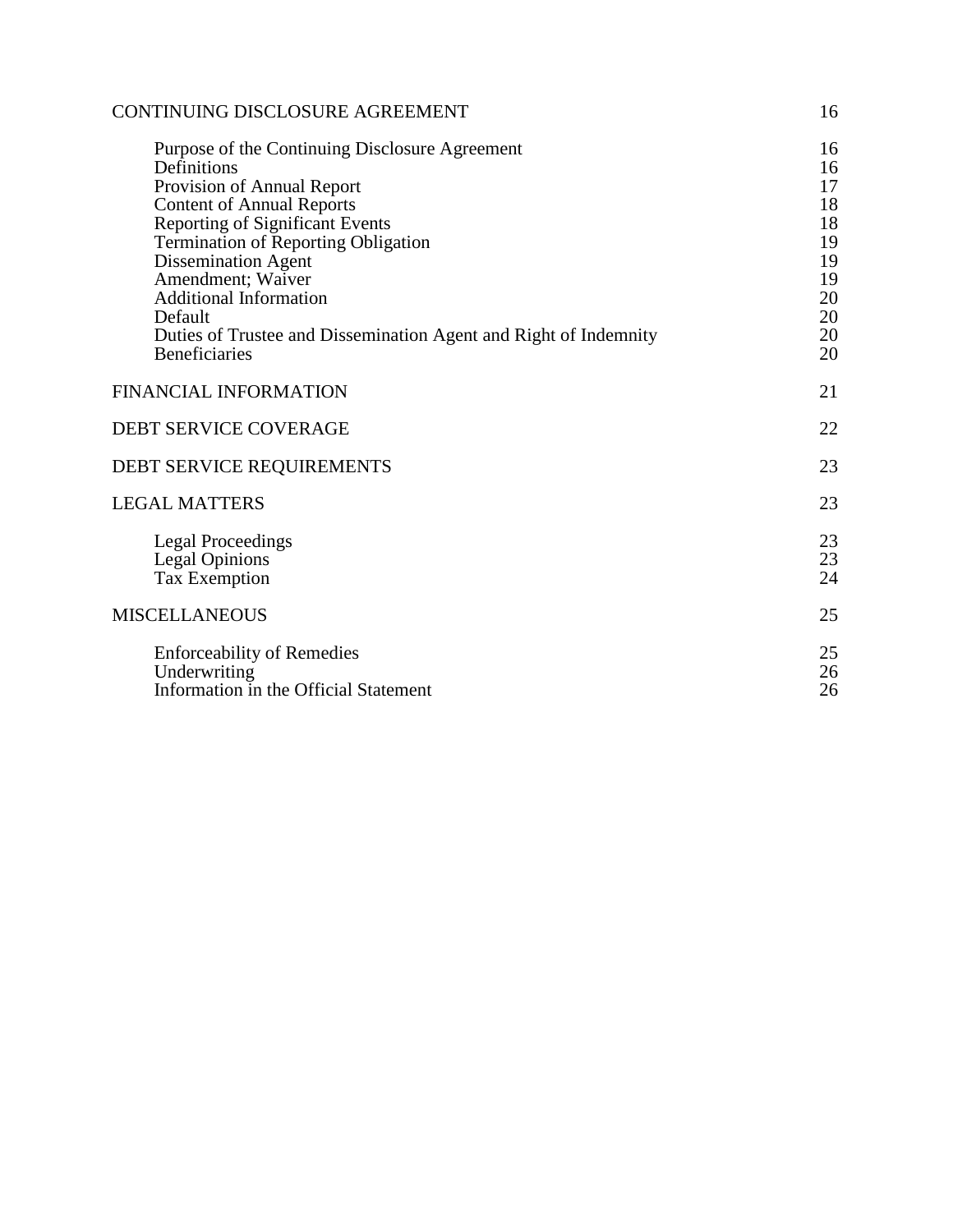| CONTINUING DISCLOSURE AGREEMENT                                                                                                                                                                                                                                                                                                                                                                                    | 16                                                                   |
|--------------------------------------------------------------------------------------------------------------------------------------------------------------------------------------------------------------------------------------------------------------------------------------------------------------------------------------------------------------------------------------------------------------------|----------------------------------------------------------------------|
| Purpose of the Continuing Disclosure Agreement<br>Definitions<br>Provision of Annual Report<br><b>Content of Annual Reports</b><br><b>Reporting of Significant Events</b><br><b>Termination of Reporting Obligation</b><br><b>Dissemination Agent</b><br>Amendment; Waiver<br><b>Additional Information</b><br>Default<br>Duties of Trustee and Dissemination Agent and Right of Indemnity<br><b>Beneficiaries</b> | 16<br>16<br>17<br>18<br>18<br>19<br>19<br>19<br>20<br>20<br>20<br>20 |
| <b>FINANCIAL INFORMATION</b>                                                                                                                                                                                                                                                                                                                                                                                       | 21                                                                   |
| <b>DEBT SERVICE COVERAGE</b>                                                                                                                                                                                                                                                                                                                                                                                       | 22                                                                   |
| DEBT SERVICE REQUIREMENTS                                                                                                                                                                                                                                                                                                                                                                                          | 23                                                                   |
| <b>LEGAL MATTERS</b>                                                                                                                                                                                                                                                                                                                                                                                               | 23                                                                   |
| <b>Legal Proceedings</b><br><b>Legal Opinions</b><br><b>Tax Exemption</b>                                                                                                                                                                                                                                                                                                                                          | 23<br>23<br>24                                                       |
| <b>MISCELLANEOUS</b>                                                                                                                                                                                                                                                                                                                                                                                               | 25                                                                   |
| <b>Enforceability of Remedies</b><br>Underwriting<br>Information in the Official Statement                                                                                                                                                                                                                                                                                                                         | 25<br>26<br>26                                                       |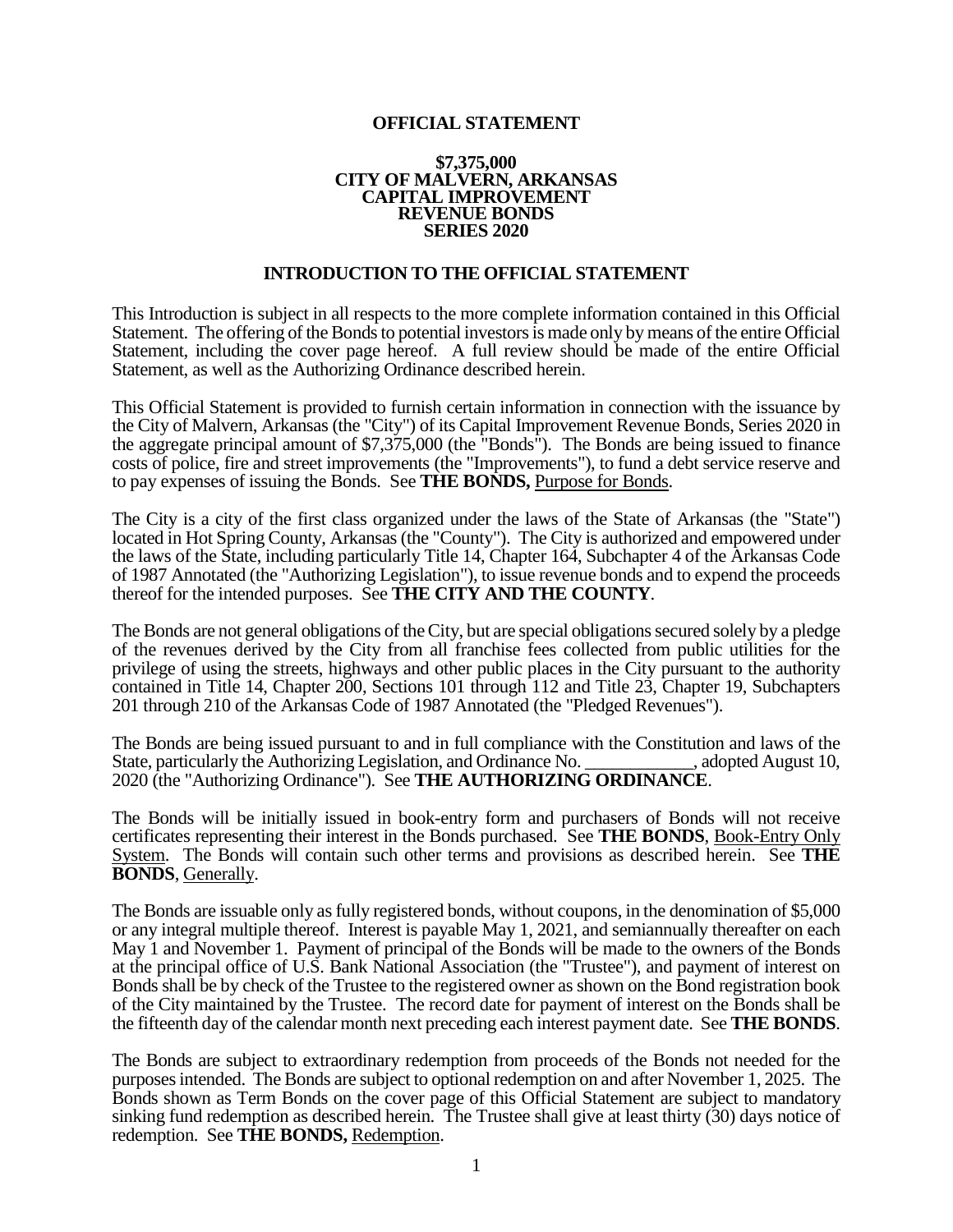## **OFFICIAL STATEMENT**

### **\$7,375,000 CITY OF MALVERN, ARKANSAS CAPITAL IMPROVEMENT REVENUE BONDS SERIES 2020**

## **INTRODUCTION TO THE OFFICIAL STATEMENT**

This Introduction is subject in all respects to the more complete information contained in this Official Statement. The offering of the Bonds to potential investors is made only by means of the entire Official Statement, including the cover page hereof. A full review should be made of the entire Official Statement, as well as the Authorizing Ordinance described herein.

This Official Statement is provided to furnish certain information in connection with the issuance by the City of Malvern, Arkansas (the "City") of its Capital Improvement Revenue Bonds, Series 2020 in the aggregate principal amount of \$7,375,000 (the "Bonds"). The Bonds are being issued to finance costs of police, fire and street improvements (the "Improvements"), to fund a debt service reserve and to pay expenses of issuing the Bonds. See **THE BONDS,** Purpose for Bonds.

The City is a city of the first class organized under the laws of the State of Arkansas (the "State") located in Hot Spring County, Arkansas (the "County"). The City is authorized and empowered under the laws of the State, including particularly Title 14, Chapter 164, Subchapter 4 of the Arkansas Code of 1987 Annotated (the "Authorizing Legislation"), to issue revenue bonds and to expend the proceeds thereof for the intended purposes. See **THE CITY AND THE COUNTY**.

The Bonds are not general obligations of the City, but are special obligations secured solely by a pledge of the revenues derived by the City from all franchise fees collected from public utilities for the privilege of using the streets, highways and other public places in the City pursuant to the authority contained in Title 14, Chapter 200, Sections 101 through 112 and Title 23, Chapter 19, Subchapters 201 through 210 of the Arkansas Code of 1987 Annotated (the "Pledged Revenues").

The Bonds are being issued pursuant to and in full compliance with the Constitution and laws of the State, particularly the Authorizing Legislation, and Ordinance No. \_\_\_\_\_\_\_\_\_\_\_\_, adopted August 10, State, particularly the Authorizing Legislation, and Ordinance No. 2020 (the "Authorizing Ordinance"). See **THE AUTHORIZING ORDINANCE**.

The Bonds will be initially issued in book-entry form and purchasers of Bonds will not receive certificates representing their interest in the Bonds purchased. See **THE BONDS**, Book-Entry Only System. The Bonds will contain such other terms and provisions as described herein. See **THE BONDS**, Generally.

The Bonds are issuable only as fully registered bonds, without coupons, in the denomination of \$5,000 or any integral multiple thereof. Interest is payable May 1, 2021, and semiannually thereafter on each May 1 and November 1. Payment of principal of the Bonds will be made to the owners of the Bonds at the principal office of U.S. Bank National Association (the "Trustee"), and payment of interest on Bonds shall be by check of the Trustee to the registered owner as shown on the Bond registration book of the City maintained by the Trustee. The record date for payment of interest on the Bonds shall be the fifteenth day of the calendar month next preceding each interest payment date. See **THE BONDS**.

The Bonds are subject to extraordinary redemption from proceeds of the Bonds not needed for the purposes intended. The Bonds are subject to optional redemption on and after November 1, 2025. The Bonds shown as Term Bonds on the cover page of this Official Statement are subject to mandatory sinking fund redemption as described herein. The Trustee shall give at least thirty (30) days notice of redemption. See **THE BONDS,** Redemption.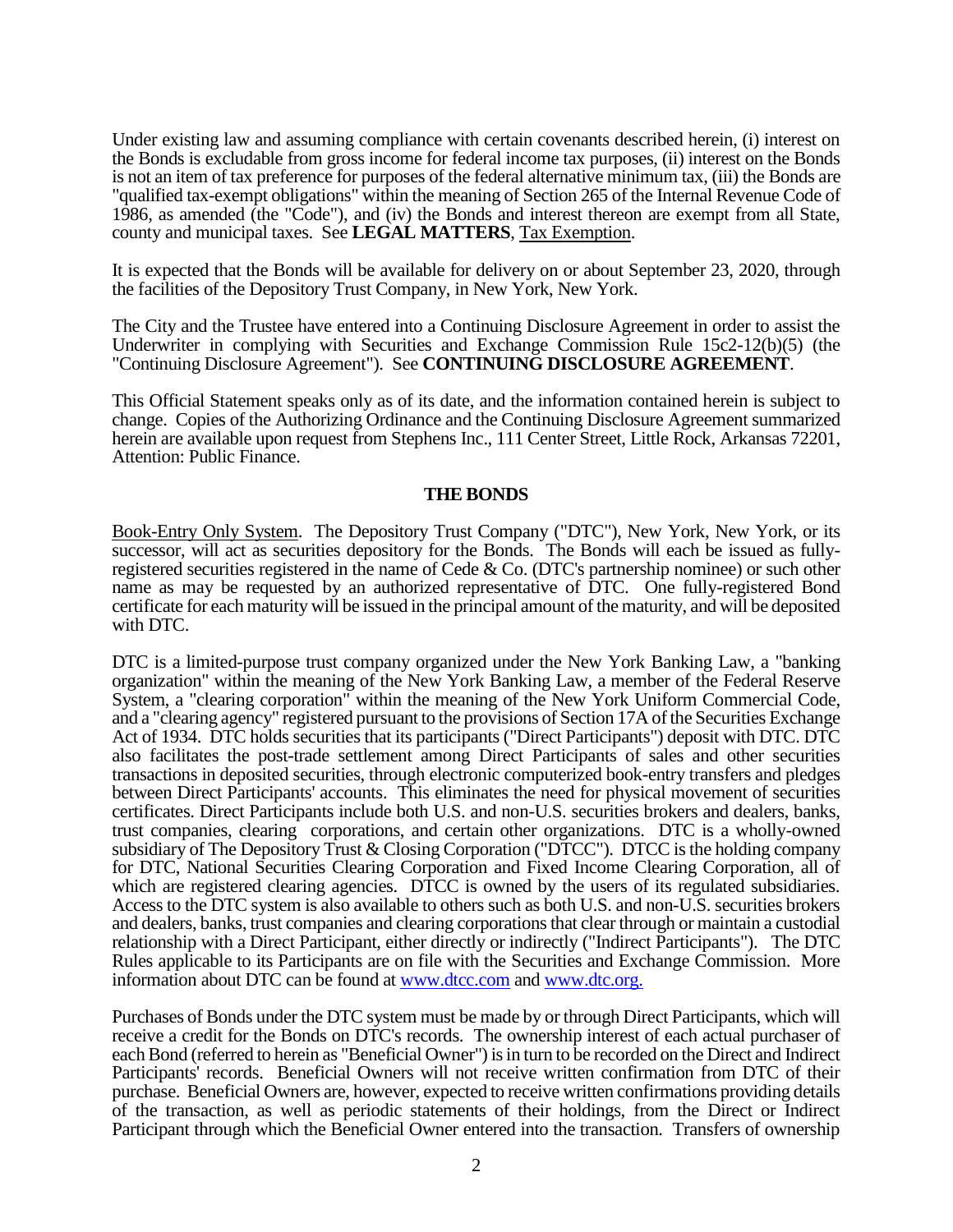Under existing law and assuming compliance with certain covenants described herein, (i) interest on the Bonds is excludable from gross income for federal income tax purposes, (ii) interest on the Bonds is not an item of tax preference for purposes of the federal alternative minimum tax, (iii) the Bonds are "qualified tax-exempt obligations" within the meaning of Section 265 of the Internal Revenue Code of 1986, as amended (the "Code"), and (iv) the Bonds and interest thereon are exempt from all State, county and municipal taxes. See **LEGAL MATTERS**, Tax Exemption.

It is expected that the Bonds will be available for delivery on or about September 23, 2020, through the facilities of the Depository Trust Company, in New York, New York.

The City and the Trustee have entered into a Continuing Disclosure Agreement in order to assist the Underwriter in complying with Securities and Exchange Commission Rule 15c2-12(b)(5) (the "Continuing Disclosure Agreement"). See **CONTINUING DISCLOSURE AGREEMENT**.

This Official Statement speaks only as of its date, and the information contained herein is subject to change. Copies of the Authorizing Ordinance and the Continuing Disclosure Agreement summarized herein are available upon request from Stephens Inc., 111 Center Street, Little Rock, Arkansas 72201, Attention: Public Finance.

## **THE BONDS**

Book-Entry Only System. The Depository Trust Company ("DTC"), New York, New York, or its successor, will act as securities depository for the Bonds. The Bonds will each be issued as fullyregistered securities registered in the name of Cede & Co. (DTC's partnership nominee) or such other name as may be requested by an authorized representative of DTC. One fully-registered Bond certificate for each maturity will be issued in the principal amount of the maturity, and will be deposited with DTC.

DTC is a limited-purpose trust company organized under the New York Banking Law, a "banking organization" within the meaning of the New York Banking Law, a member of the Federal Reserve System, a "clearing corporation" within the meaning of the New York Uniform Commercial Code, and a "clearing agency" registered pursuant to the provisions of Section 17A of the Securities Exchange Act of 1934. DTC holds securities that its participants ("Direct Participants") deposit with DTC. DTC also facilitates the post-trade settlement among Direct Participants of sales and other securities transactions in deposited securities, through electronic computerized book-entry transfers and pledges between Direct Participants' accounts. This eliminates the need for physical movement of securities certificates. Direct Participants include both U.S. and non-U.S. securities brokers and dealers, banks, trust companies, clearing corporations, and certain other organizations. DTC is a wholly-owned subsidiary of The Depository Trust & Closing Corporation ("DTCC"). DTCC is the holding company for DTC, National Securities Clearing Corporation and Fixed Income Clearing Corporation, all of which are registered clearing agencies. DTCC is owned by the users of its regulated subsidiaries. Access to the DTC system is also available to others such as both U.S. and non-U.S. securities brokers and dealers, banks, trust companies and clearing corporations that clear through or maintain a custodial relationship with a Direct Participant, either directly or indirectly ("Indirect Participants"). The DTC Rules applicable to its Participants are on file with the Securities and Exchange Commission. More information about DTC can be found at [www.dtcc.com](http://www.dtcc.com/) and www.dtc.org.

Purchases of Bonds under the DTC system must be made by or through Direct Participants, which will receive a credit for the Bonds on DTC's records. The ownership interest of each actual purchaser of each Bond (referred to herein as "Beneficial Owner") is in turn to be recorded on the Direct and Indirect Participants' records. Beneficial Owners will not receive written confirmation from DTC of their purchase. Beneficial Owners are, however, expected to receive written confirmations providing details of the transaction, as well as periodic statements of their holdings, from the Direct or Indirect Participant through which the Beneficial Owner entered into the transaction. Transfers of ownership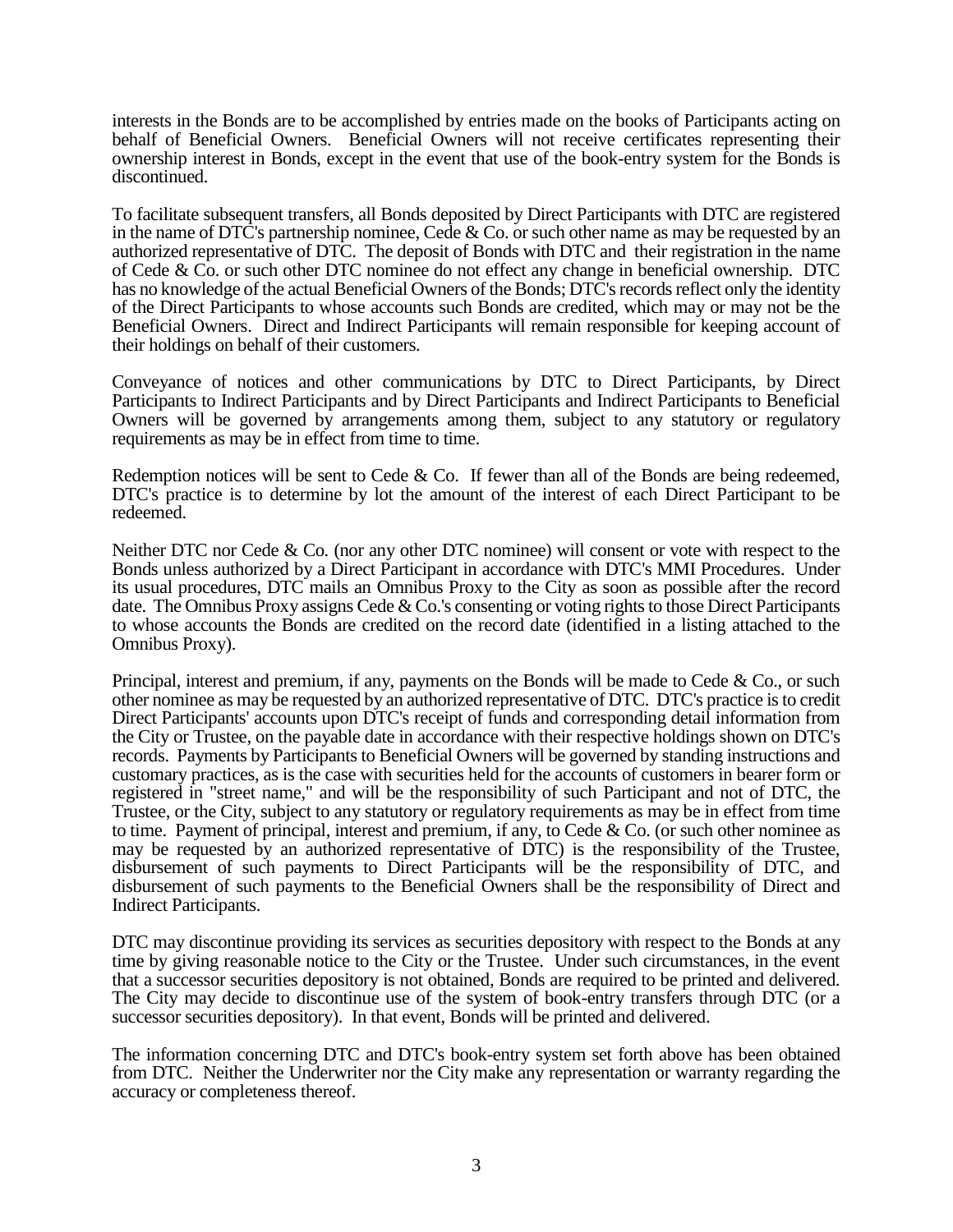interests in the Bonds are to be accomplished by entries made on the books of Participants acting on behalf of Beneficial Owners. Beneficial Owners will not receive certificates representing their ownership interest in Bonds, except in the event that use of the book-entry system for the Bonds is discontinued.

To facilitate subsequent transfers, all Bonds deposited by Direct Participants with DTC are registered in the name of DTC's partnership nominee, Cede & Co. or such other name as may be requested by an authorized representative of DTC. The deposit of Bonds with DTC and their registration in the name of Cede & Co. or such other DTC nominee do not effect any change in beneficial ownership. DTC has no knowledge of the actual Beneficial Owners of the Bonds; DTC's records reflect only the identity of the Direct Participants to whose accounts such Bonds are credited, which may or may not be the Beneficial Owners. Direct and Indirect Participants will remain responsible for keeping account of their holdings on behalf of their customers.

Conveyance of notices and other communications by DTC to Direct Participants, by Direct Participants to Indirect Participants and by Direct Participants and Indirect Participants to Beneficial Owners will be governed by arrangements among them, subject to any statutory or regulatory requirements as may be in effect from time to time.

Redemption notices will be sent to Cede  $&$  Co. If fewer than all of the Bonds are being redeemed, DTC's practice is to determine by lot the amount of the interest of each Direct Participant to be redeemed.

Neither DTC nor Cede & Co. (nor any other DTC nominee) will consent or vote with respect to the Bonds unless authorized by a Direct Participant in accordance with DTC's MMI Procedures. Under its usual procedures, DTC mails an Omnibus Proxy to the City as soon as possible after the record date. The Omnibus Proxy assigns Cede & Co.'s consenting or voting rights to those Direct Participants to whose accounts the Bonds are credited on the record date (identified in a listing attached to the Omnibus Proxy).

Principal, interest and premium, if any, payments on the Bonds will be made to Cede  $\&$  Co., or such other nominee as may be requested by an authorized representative of DTC. DTC's practice is to credit Direct Participants' accounts upon DTC's receipt of funds and corresponding detail information from the City or Trustee, on the payable date in accordance with their respective holdings shown on DTC's records. Payments by Participants to Beneficial Owners will be governed by standing instructions and customary practices, as is the case with securities held for the accounts of customers in bearer form or registered in "street name," and will be the responsibility of such Participant and not of DTC, the Trustee, or the City, subject to any statutory or regulatory requirements as may be in effect from time to time. Payment of principal, interest and premium, if any, to Cede & Co. (or such other nominee as may be requested by an authorized representative of DTC) is the responsibility of the Trustee, disbursement of such payments to Direct Participants will be the responsibility of DTC, and disbursement of such payments to the Beneficial Owners shall be the responsibility of Direct and Indirect Participants.

DTC may discontinue providing its services as securities depository with respect to the Bonds at any time by giving reasonable notice to the City or the Trustee. Under such circumstances, in the event that a successor securities depository is not obtained, Bonds are required to be printed and delivered. The City may decide to discontinue use of the system of book-entry transfers through DTC (or a successor securities depository). In that event, Bonds will be printed and delivered.

The information concerning DTC and DTC's book-entry system set forth above has been obtained from DTC. Neither the Underwriter nor the City make any representation or warranty regarding the accuracy or completeness thereof.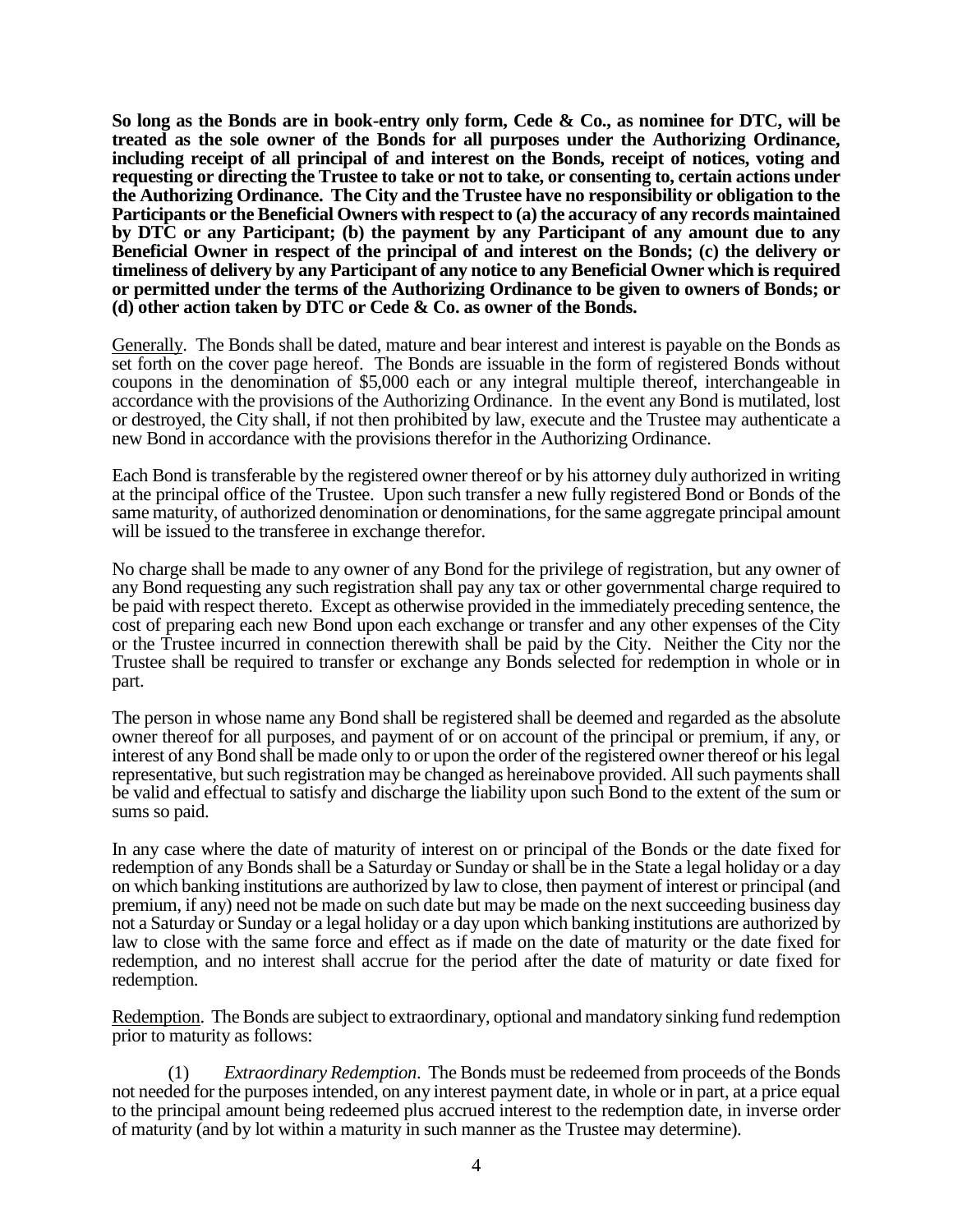**So long as the Bonds are in book-entry only form, Cede & Co., as nominee for DTC, will be treated as the sole owner of the Bonds for all purposes under the Authorizing Ordinance, including receipt of all principal of and interest on the Bonds, receipt of notices, voting and requesting or directing the Trustee to take or not to take, or consenting to, certain actions under the Authorizing Ordinance. The City and the Trustee have no responsibility or obligation to the Participants or the Beneficial Owners with respect to (a) the accuracy of any records maintained by DTC or any Participant; (b) the payment by any Participant of any amount due to any Beneficial Owner in respect of the principal of and interest on the Bonds; (c) the delivery or timeliness of delivery by any Participant of any notice to any Beneficial Owner which is required or permitted under the terms of the Authorizing Ordinance to be given to owners of Bonds; or (d) other action taken by DTC or Cede & Co. as owner of the Bonds.**

Generally. The Bonds shall be dated, mature and bear interest and interest is payable on the Bonds as set forth on the cover page hereof. The Bonds are issuable in the form of registered Bonds without coupons in the denomination of \$5,000 each or any integral multiple thereof, interchangeable in accordance with the provisions of the Authorizing Ordinance. In the event any Bond is mutilated, lost or destroyed, the City shall, if not then prohibited by law, execute and the Trustee may authenticate a new Bond in accordance with the provisions therefor in the Authorizing Ordinance.

Each Bond is transferable by the registered owner thereof or by his attorney duly authorized in writing at the principal office of the Trustee. Upon such transfer a new fully registered Bond or Bonds of the same maturity, of authorized denomination or denominations, for the same aggregate principal amount will be issued to the transferee in exchange therefor.

No charge shall be made to any owner of any Bond for the privilege of registration, but any owner of any Bond requesting any such registration shall pay any tax or other governmental charge required to be paid with respect thereto. Except as otherwise provided in the immediately preceding sentence, the cost of preparing each new Bond upon each exchange or transfer and any other expenses of the City or the Trustee incurred in connection therewith shall be paid by the City. Neither the City nor the Trustee shall be required to transfer or exchange any Bonds selected for redemption in whole or in part.

The person in whose name any Bond shall be registered shall be deemed and regarded as the absolute owner thereof for all purposes, and payment of or on account of the principal or premium, if any, or interest of any Bond shall be made only to or upon the order of the registered owner thereof or his legal representative, but such registration may be changed as hereinabove provided. All such payments shall be valid and effectual to satisfy and discharge the liability upon such Bond to the extent of the sum or sums so paid.

In any case where the date of maturity of interest on or principal of the Bonds or the date fixed for redemption of any Bonds shall be a Saturday or Sunday or shall be in the State a legal holiday or a day on which banking institutions are authorized by law to close, then payment of interest or principal (and premium, if any) need not be made on such date but may be made on the next succeeding business day not a Saturday or Sunday or a legal holiday or a day upon which banking institutions are authorized by law to close with the same force and effect as if made on the date of maturity or the date fixed for redemption, and no interest shall accrue for the period after the date of maturity or date fixed for redemption.

Redemption. The Bonds are subject to extraordinary, optional and mandatory sinking fund redemption prior to maturity as follows:

(1) *Extraordinary Redemption*. The Bonds must be redeemed from proceeds of the Bonds not needed for the purposes intended, on any interest payment date, in whole or in part, at a price equal to the principal amount being redeemed plus accrued interest to the redemption date, in inverse order of maturity (and by lot within a maturity in such manner as the Trustee may determine).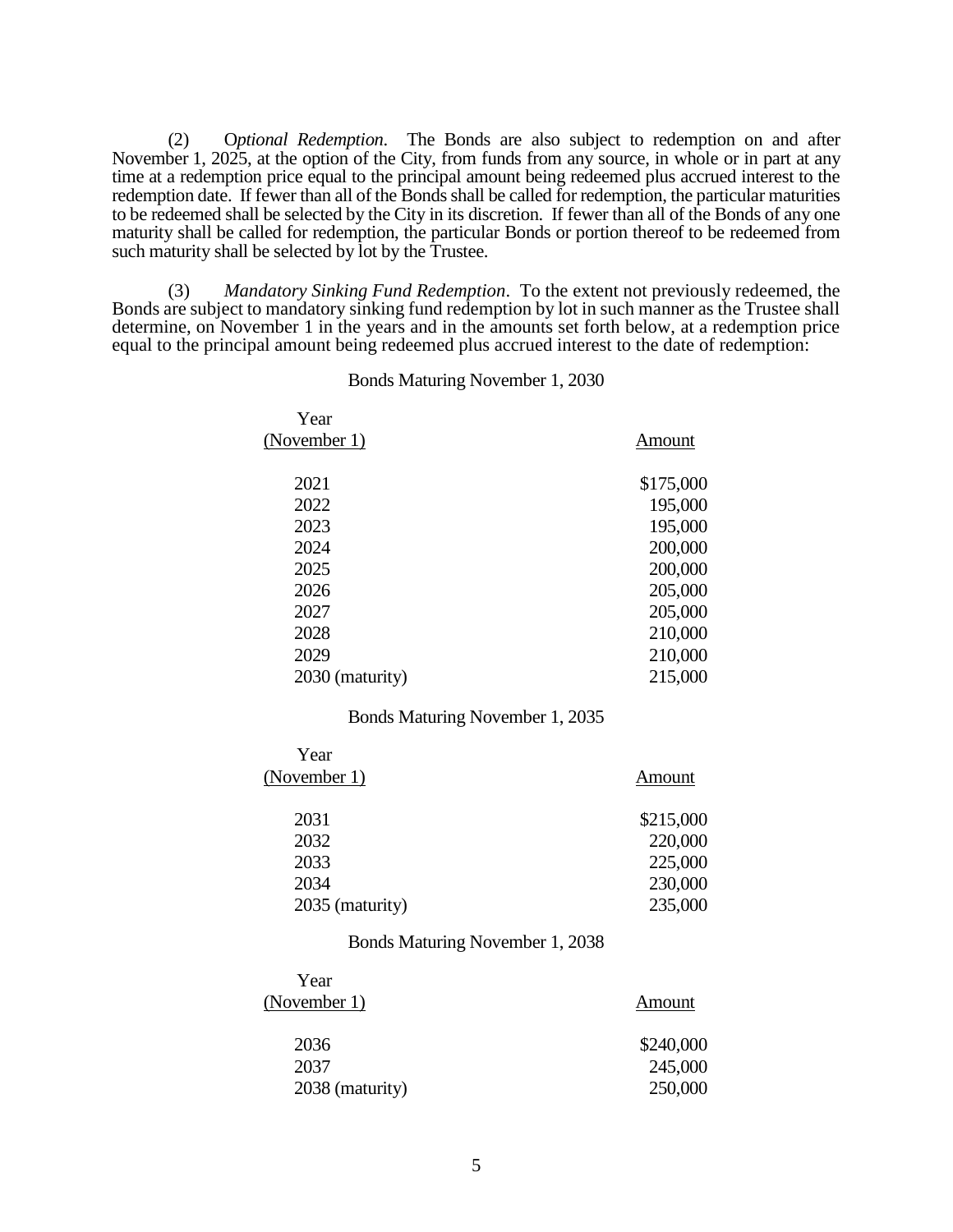(2) O*ptional Redemption*. The Bonds are also subject to redemption on and after November 1, 2025, at the option of the City, from funds from any source, in whole or in part at any time at a redemption price equal to the principal amount being redeemed plus accrued interest to the redemption date. If fewer than all of the Bonds shall be called for redemption, the particular maturities to be redeemed shall be selected by the City in its discretion. If fewer than all of the Bonds of any one maturity shall be called for redemption, the particular Bonds or portion thereof to be redeemed from such maturity shall be selected by lot by the Trustee.

(3) *Mandatory Sinking Fund Redemption*. To the extent not previously redeemed, the Bonds are subject to mandatory sinking fund redemption by lot in such manner as the Trustee shall determine, on November 1 in the years and in the amounts set forth below, at a redemption price equal to the principal amount being redeemed plus accrued interest to the date of redemption:

| Year            |           |
|-----------------|-----------|
| (November 1)    | Amount    |
|                 |           |
| 2021            | \$175,000 |
| 2022            | 195,000   |
| 2023            | 195,000   |
| 2024            | 200,000   |
| 2025            | 200,000   |
| 2026            | 205,000   |
| 2027            | 205,000   |
| 2028            | 210,000   |
| 2029            | 210,000   |
| 2030 (maturity) | 215,000   |
|                 |           |

#### Bonds Maturing November 1, 2030

## Bonds Maturing November 1, 2035

| Year            |           |
|-----------------|-----------|
| (November 1)    | Amount    |
|                 |           |
| 2031            | \$215,000 |
| 2032            | 220,000   |
| 2033            | 225,000   |
| 2034            | 230,000   |
| 2035 (maturity) | 235,000   |

#### Bonds Maturing November 1, 2038

| Year            |           |
|-----------------|-----------|
| (November 1)    | Amount    |
| 2036            | \$240,000 |
| 2037            | 245,000   |
| 2038 (maturity) | 250,000   |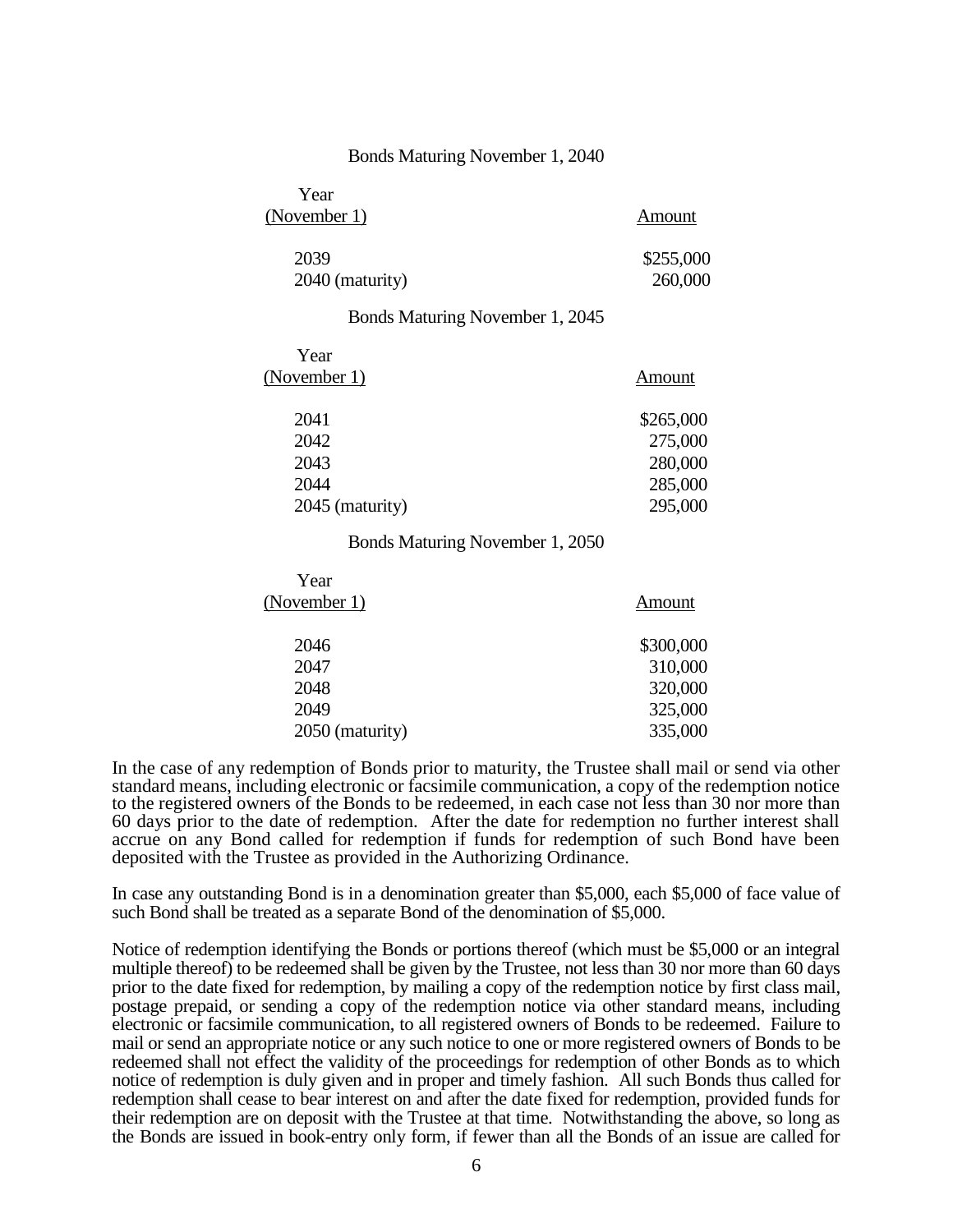#### Bonds Maturing November 1, 2040

| Year            |           |
|-----------------|-----------|
| (November 1)    | Amount    |
| 2039            | \$255,000 |
| 2040 (maturity) | 260,000   |

### Bonds Maturing November 1, 2045

| Year            |           |
|-----------------|-----------|
| (November 1)    | Amount    |
| 2041            | \$265,000 |
| 2042            | 275,000   |
| 2043            | 280,000   |
| 2044            | 285,000   |
| 2045 (maturity) | 295,000   |
|                 |           |

### Bonds Maturing November 1, 2050

| Year            |           |
|-----------------|-----------|
| (November 1)    | Amount    |
| 2046            | \$300,000 |
| 2047            | 310,000   |
| 2048            | 320,000   |
| 2049            | 325,000   |
| 2050 (maturity) | 335,000   |
|                 |           |

In the case of any redemption of Bonds prior to maturity, the Trustee shall mail or send via other standard means, including electronic or facsimile communication, a copy of the redemption notice to the registered owners of the Bonds to be redeemed, in each case not less than 30 nor more than 60 days prior to the date of redemption. After the date for redemption no further interest shall accrue on any Bond called for redemption if funds for redemption of such Bond have been deposited with the Trustee as provided in the Authorizing Ordinance.

In case any outstanding Bond is in a denomination greater than \$5,000, each \$5,000 of face value of such Bond shall be treated as a separate Bond of the denomination of \$5,000.

Notice of redemption identifying the Bonds or portions thereof (which must be \$5,000 or an integral multiple thereof) to be redeemed shall be given by the Trustee, not less than 30 nor more than 60 days prior to the date fixed for redemption, by mailing a copy of the redemption notice by first class mail, postage prepaid, or sending a copy of the redemption notice via other standard means, including electronic or facsimile communication, to all registered owners of Bonds to be redeemed. Failure to mail or send an appropriate notice or any such notice to one or more registered owners of Bonds to be redeemed shall not effect the validity of the proceedings for redemption of other Bonds as to which notice of redemption is duly given and in proper and timely fashion. All such Bonds thus called for redemption shall cease to bear interest on and after the date fixed for redemption, provided funds for their redemption are on deposit with the Trustee at that time. Notwithstanding the above, so long as the Bonds are issued in book-entry only form, if fewer than all the Bonds of an issue are called for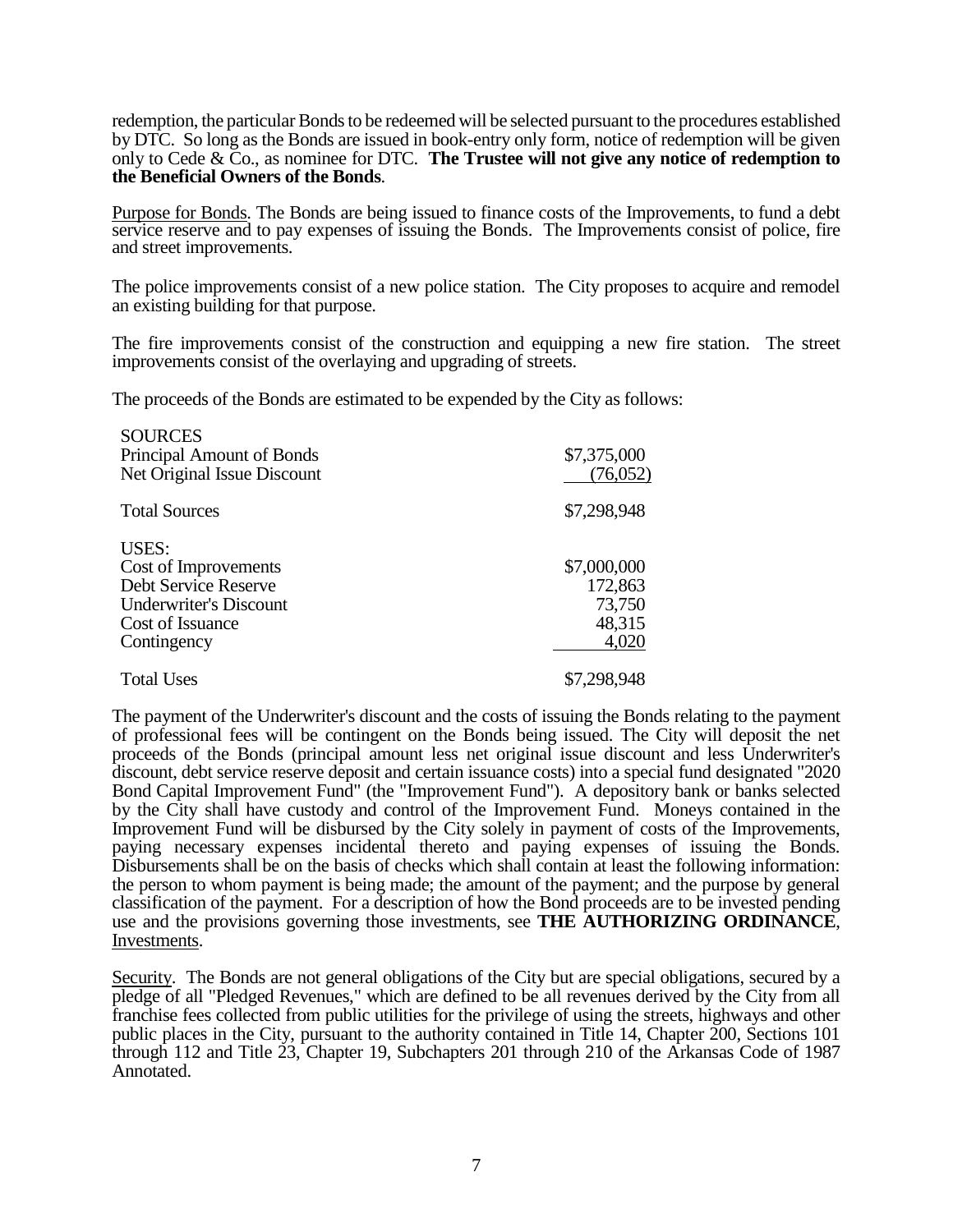redemption, the particular Bonds to be redeemed will be selected pursuant to the procedures established by DTC. So long as the Bonds are issued in book-entry only form, notice of redemption will be given only to Cede & Co., as nominee for DTC. **The Trustee will not give any notice of redemption to the Beneficial Owners of the Bonds**.

Purpose for Bonds. The Bonds are being issued to finance costs of the Improvements, to fund a debt service reserve and to pay expenses of issuing the Bonds. The Improvements consist of police, fire and street improvements.

The police improvements consist of a new police station. The City proposes to acquire and remodel an existing building for that purpose.

The fire improvements consist of the construction and equipping a new fire station. The street improvements consist of the overlaying and upgrading of streets.

The proceeds of the Bonds are estimated to be expended by the City as follows:

| <b>SOURCES</b><br>Principal Amount of Bonds<br>Net Original Issue Discount                                                       | \$7,375,000<br>(76,052)                             |
|----------------------------------------------------------------------------------------------------------------------------------|-----------------------------------------------------|
| <b>Total Sources</b>                                                                                                             | \$7,298,948                                         |
| <b>USES:</b><br>Cost of Improvements<br>Debt Service Reserve<br><b>Underwriter's Discount</b><br>Cost of Issuance<br>Contingency | \$7,000,000<br>172,863<br>73,750<br>48,315<br>4,020 |
| <b>Total Uses</b>                                                                                                                | \$7,298,948                                         |

The payment of the Underwriter's discount and the costs of issuing the Bonds relating to the payment of professional fees will be contingent on the Bonds being issued. The City will deposit the net proceeds of the Bonds (principal amount less net original issue discount and less Underwriter's discount, debt service reserve deposit and certain issuance costs) into a special fund designated "2020 Bond Capital Improvement Fund" (the "Improvement Fund"). A depository bank or banks selected by the City shall have custody and control of the Improvement Fund. Moneys contained in the Improvement Fund will be disbursed by the City solely in payment of costs of the Improvements, paying necessary expenses incidental thereto and paying expenses of issuing the Bonds. Disbursements shall be on the basis of checks which shall contain at least the following information: the person to whom payment is being made; the amount of the payment; and the purpose by general classification of the payment. For a description of how the Bond proceeds are to be invested pending use and the provisions governing those investments, see **THE AUTHORIZING ORDINANCE**, Investments.

Security. The Bonds are not general obligations of the City but are special obligations, secured by a pledge of all "Pledged Revenues," which are defined to be all revenues derived by the City from all franchise fees collected from public utilities for the privilege of using the streets, highways and other public places in the City, pursuant to the authority contained in Title 14, Chapter 200, Sections 101 through 112 and Title 23, Chapter 19, Subchapters 201 through 210 of the Arkansas Code of 1987 Annotated.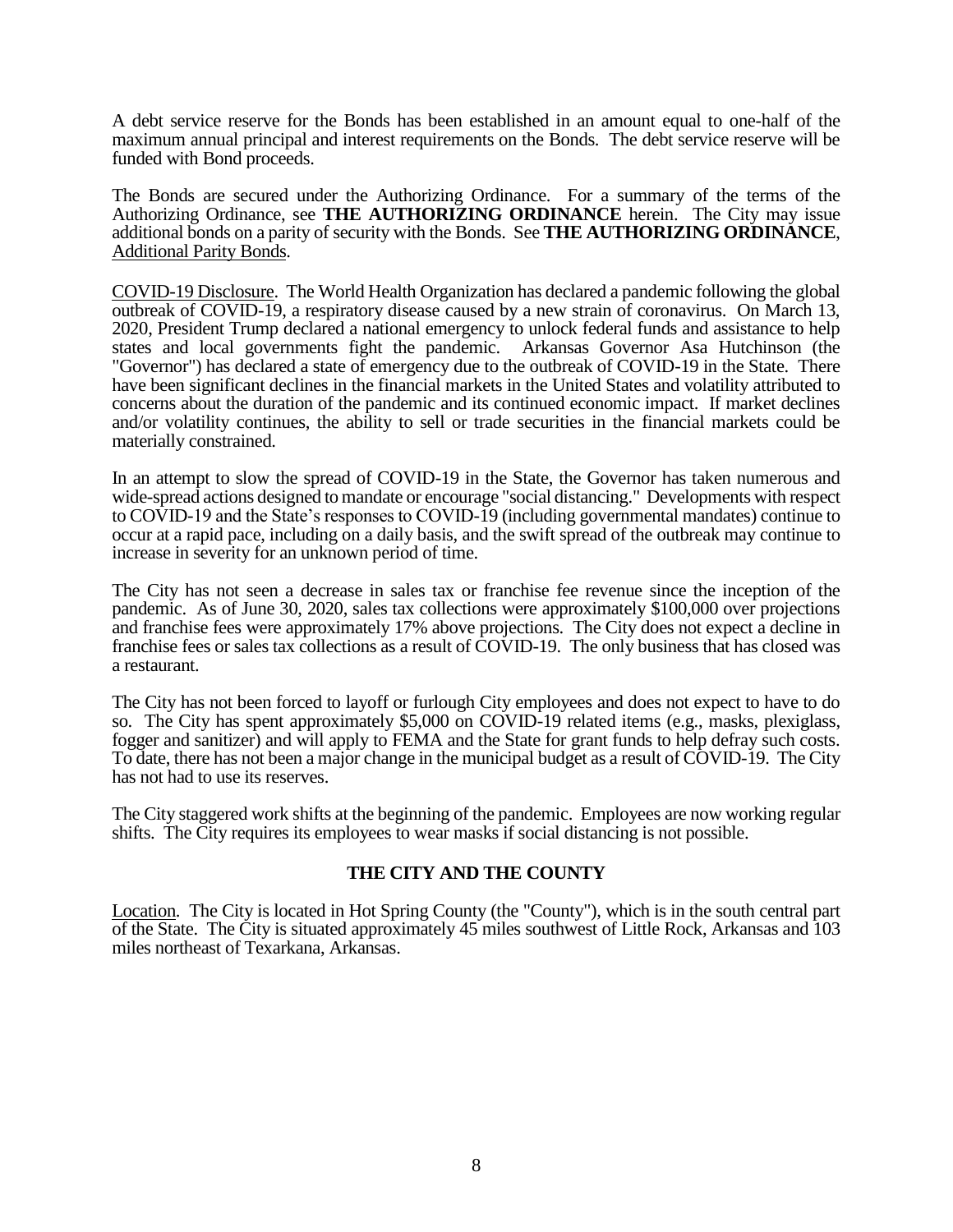A debt service reserve for the Bonds has been established in an amount equal to one-half of the maximum annual principal and interest requirements on the Bonds. The debt service reserve will be funded with Bond proceeds.

The Bonds are secured under the Authorizing Ordinance. For a summary of the terms of the Authorizing Ordinance, see **THE AUTHORIZING ORDINANCE** herein. The City may issue additional bonds on a parity of security with the Bonds. See **THE AUTHORIZING ORDINANCE**, Additional Parity Bonds.

COVID-19 Disclosure. The World Health Organization has declared a pandemic following the global outbreak of COVID-19, a respiratory disease caused by a new strain of coronavirus. On March 13, 2020, President Trump declared a national emergency to unlock federal funds and assistance to help states and local governments fight the pandemic. Arkansas Governor Asa Hutchinson (the "Governor") has declared a state of emergency due to the outbreak of COVID-19 in the State. There have been significant declines in the financial markets in the United States and volatility attributed to concerns about the duration of the pandemic and its continued economic impact. If market declines and/or volatility continues, the ability to sell or trade securities in the financial markets could be materially constrained.

In an attempt to slow the spread of COVID-19 in the State, the Governor has taken numerous and wide-spread actions designed to mandate or encourage "social distancing." Developments with respect to COVID-19 and the State's responses to COVID-19 (including governmental mandates) continue to occur at a rapid pace, including on a daily basis, and the swift spread of the outbreak may continue to increase in severity for an unknown period of time.

The City has not seen a decrease in sales tax or franchise fee revenue since the inception of the pandemic. As of June 30, 2020, sales tax collections were approximately \$100,000 over projections and franchise fees were approximately 17% above projections. The City does not expect a decline in franchise fees or sales tax collections as a result of COVID-19. The only business that has closed was a restaurant.

The City has not been forced to layoff or furlough City employees and does not expect to have to do so. The City has spent approximately \$5,000 on COVID-19 related items (e.g., masks, plexiglass, fogger and sanitizer) and will apply to FEMA and the State for grant funds to help defray such costs. To date, there has not been a major change in the municipal budget as a result of COVID-19. The City has not had to use its reserves.

The City staggered work shifts at the beginning of the pandemic. Employees are now working regular shifts. The City requires its employees to wear masks if social distancing is not possible.

# **THE CITY AND THE COUNTY**

Location. The City is located in Hot Spring County (the "County"), which is in the south central part of the State. The City is situated approximately 45 miles southwest of Little Rock, Arkansas and 103 miles northeast of Texarkana, Arkansas.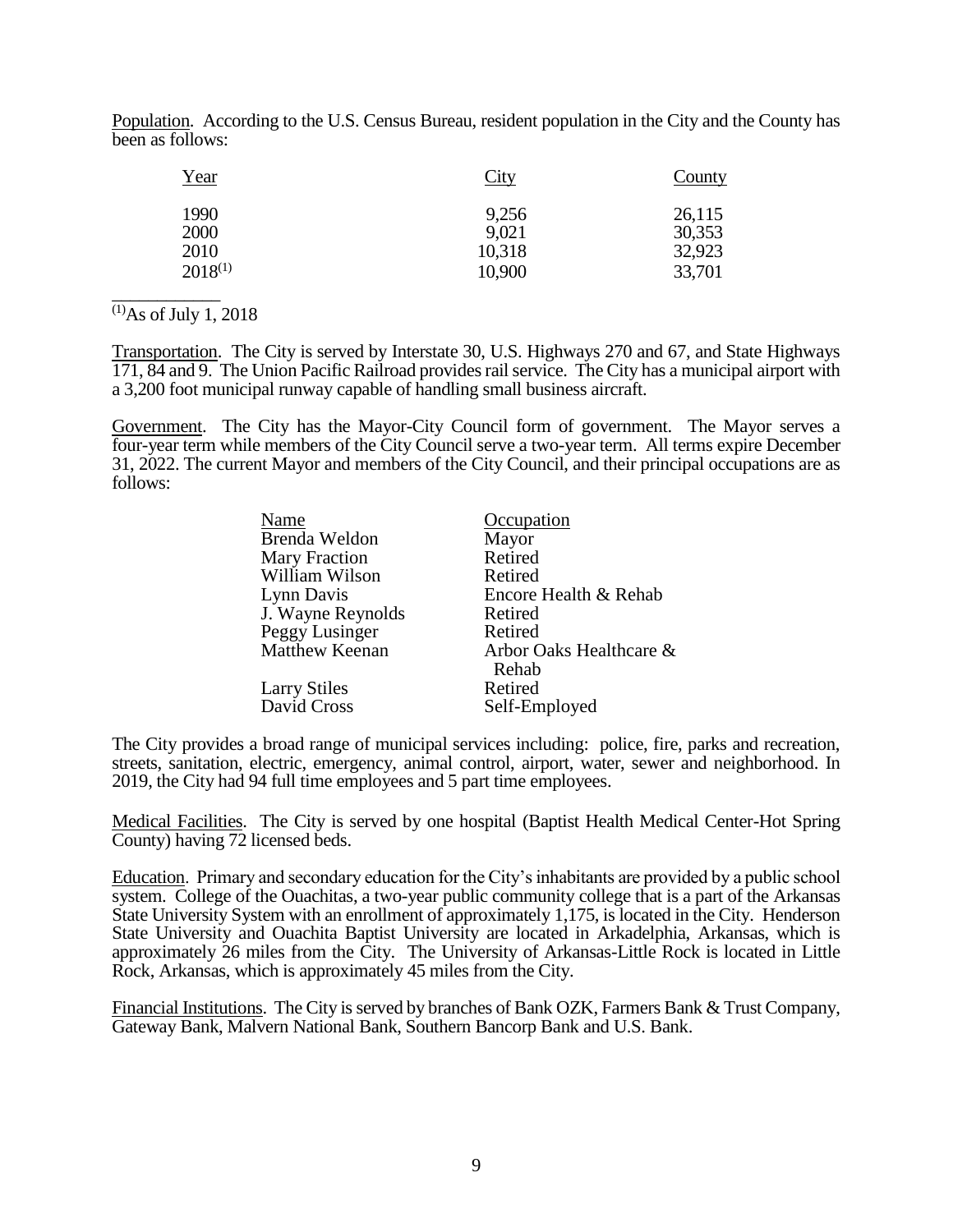Population. According to the U.S. Census Bureau, resident population in the City and the County has been as follows:

| Year         | City   | County |
|--------------|--------|--------|
| 1990         | 9,256  | 26,115 |
| 2000         | 9,021  | 30,353 |
| 2010         | 10,318 | 32,923 |
| $2018^{(1)}$ | 10,900 | 33,701 |

 $^{(1)}$ As of July 1, 2018

\_\_\_\_\_\_\_\_\_\_\_\_

Transportation. The City is served by Interstate 30, U.S. Highways 270 and 67, and State Highways 171, 84 and 9. The Union Pacific Railroad provides rail service. The City has a municipal airport with a 3,200 foot municipal runway capable of handling small business aircraft.

Government. The City has the Mayor-City Council form of government. The Mayor serves a four-year term while members of the City Council serve a two-year term. All terms expire December 31, 2022. The current Mayor and members of the City Council, and their principal occupations are as follows:

| Name                 | Occupation              |
|----------------------|-------------------------|
| Brenda Weldon        | Mayor                   |
| <b>Mary Fraction</b> | Retired                 |
| William Wilson       | Retired                 |
| Lynn Davis           | Encore Health & Rehab   |
| J. Wayne Reynolds    | Retired                 |
| Peggy Lusinger       | Retired                 |
| Matthew Keenan       | Arbor Oaks Healthcare & |
|                      | Rehab                   |
| <b>Larry Stiles</b>  | Retired                 |
| David Cross          | Self-Employed           |

The City provides a broad range of municipal services including: police, fire, parks and recreation, streets, sanitation, electric, emergency, animal control, airport, water, sewer and neighborhood. In 2019, the City had 94 full time employees and 5 part time employees.

Medical Facilities. The City is served by one hospital (Baptist Health Medical Center-Hot Spring County) having 72 licensed beds.

Education. Primary and secondary education for the City's inhabitants are provided by a public school system. College of the Ouachitas, a two-year public community college that is a part of the Arkansas State University System with an enrollment of approximately 1,175, is located in the City. Henderson State University and Ouachita Baptist University are located in Arkadelphia, Arkansas, which is approximately 26 miles from the City. The University of Arkansas-Little Rock is located in Little Rock, Arkansas, which is approximately 45 miles from the City.

Financial Institutions. The City is served by branches of Bank OZK, Farmers Bank & Trust Company, Gateway Bank, Malvern National Bank, Southern Bancorp Bank and U.S. Bank.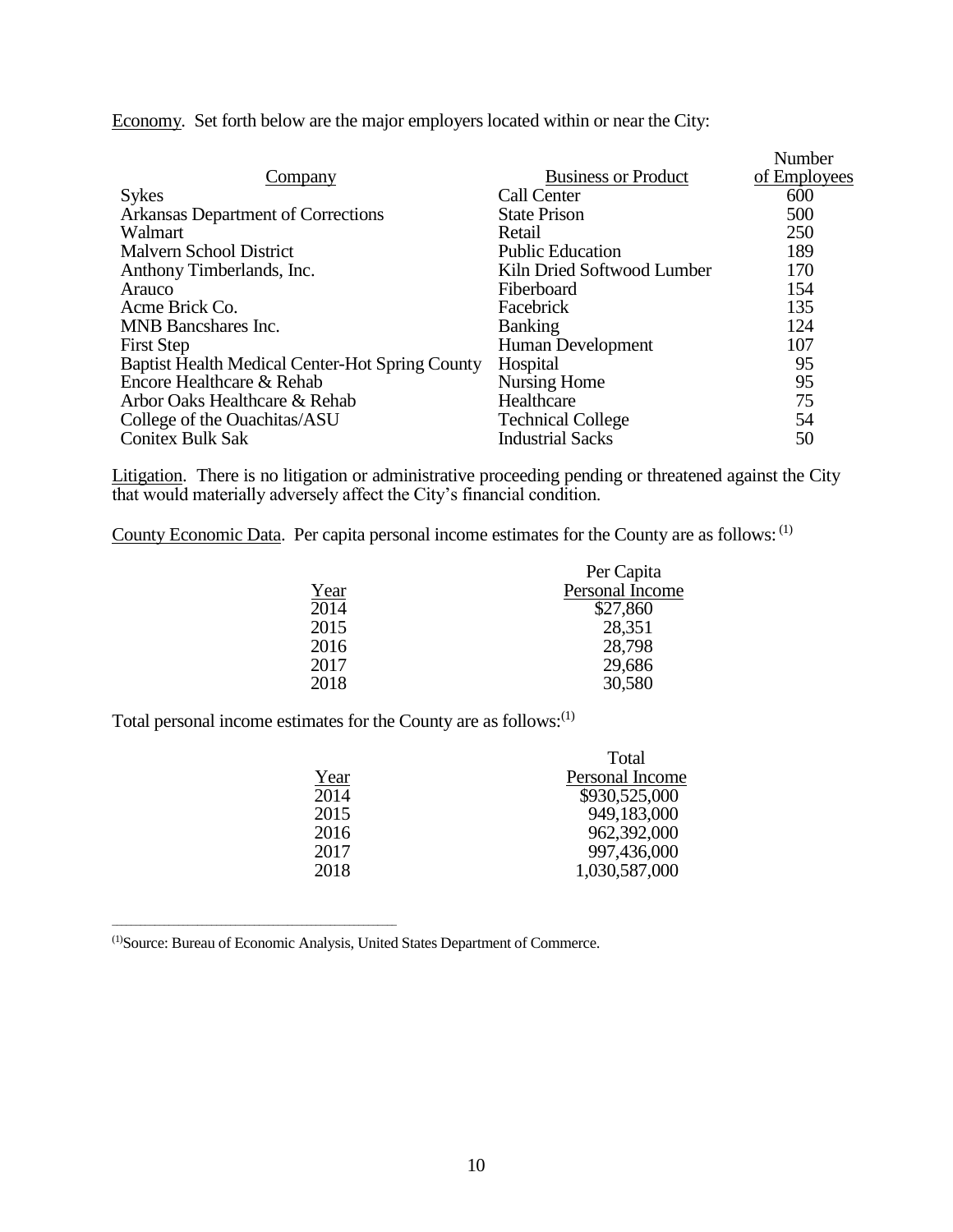Economy. Set forth below are the major employers located within or near the City:

| Company                                                | <b>Business or Product</b> | Number<br>of Employees |
|--------------------------------------------------------|----------------------------|------------------------|
| <b>Sykes</b>                                           | Call Center                | 600                    |
| Arkansas Department of Corrections                     | <b>State Prison</b>        | 500                    |
| Walmart                                                | Retail                     | 250                    |
| Malvern School District                                | <b>Public Education</b>    | 189                    |
| Anthony Timberlands, Inc.                              | Kiln Dried Softwood Lumber | 170                    |
| Arauco                                                 | Fiberboard                 | 154                    |
| Acme Brick Co.                                         | Facebrick                  | 135                    |
| <b>MNB</b> Bancshares Inc.                             | <b>Banking</b>             | 124                    |
| <b>First Step</b>                                      | Human Development          | 107                    |
| <b>Baptist Health Medical Center-Hot Spring County</b> | Hospital                   | 95                     |
| Encore Healthcare & Rehab                              | Nursing Home               | 95                     |
| Arbor Oaks Healthcare & Rehab                          | Healthcare                 | 75                     |
| College of the Ouachitas/ASU                           | <b>Technical College</b>   | 54                     |
| <b>Conitex Bulk Sak</b>                                | <b>Industrial Sacks</b>    | 50                     |

Litigation. There is no litigation or administrative proceeding pending or threatened against the City that would materially adversely affect the City's financial condition.

County Economic Data. Per capita personal income estimates for the County are as follows: (1)

|      | Per Capita      |
|------|-----------------|
| Year | Personal Income |
| 2014 | \$27,860        |
| 2015 | 28,351          |
| 2016 | 28,798          |
| 2017 | 29,686          |
| 2018 | 30,580          |
|      |                 |

Total personal income estimates for the County are as follows:(1)

|      | Total           |
|------|-----------------|
| Year | Personal Income |
| 2014 | \$930,525,000   |
| 2015 | 949,183,000     |
| 2016 | 962,392,000     |
| 2017 | 997,436,000     |
| 2018 | 1,030,587,000   |

(1)Source: Bureau of Economic Analysis, United States Department of Commerce.

\_\_\_\_\_\_\_\_\_\_\_\_\_\_\_\_\_\_\_\_\_\_\_\_\_\_\_\_\_\_\_\_\_\_\_\_\_\_\_\_\_\_\_\_\_\_\_\_\_\_\_\_\_\_\_\_\_\_\_\_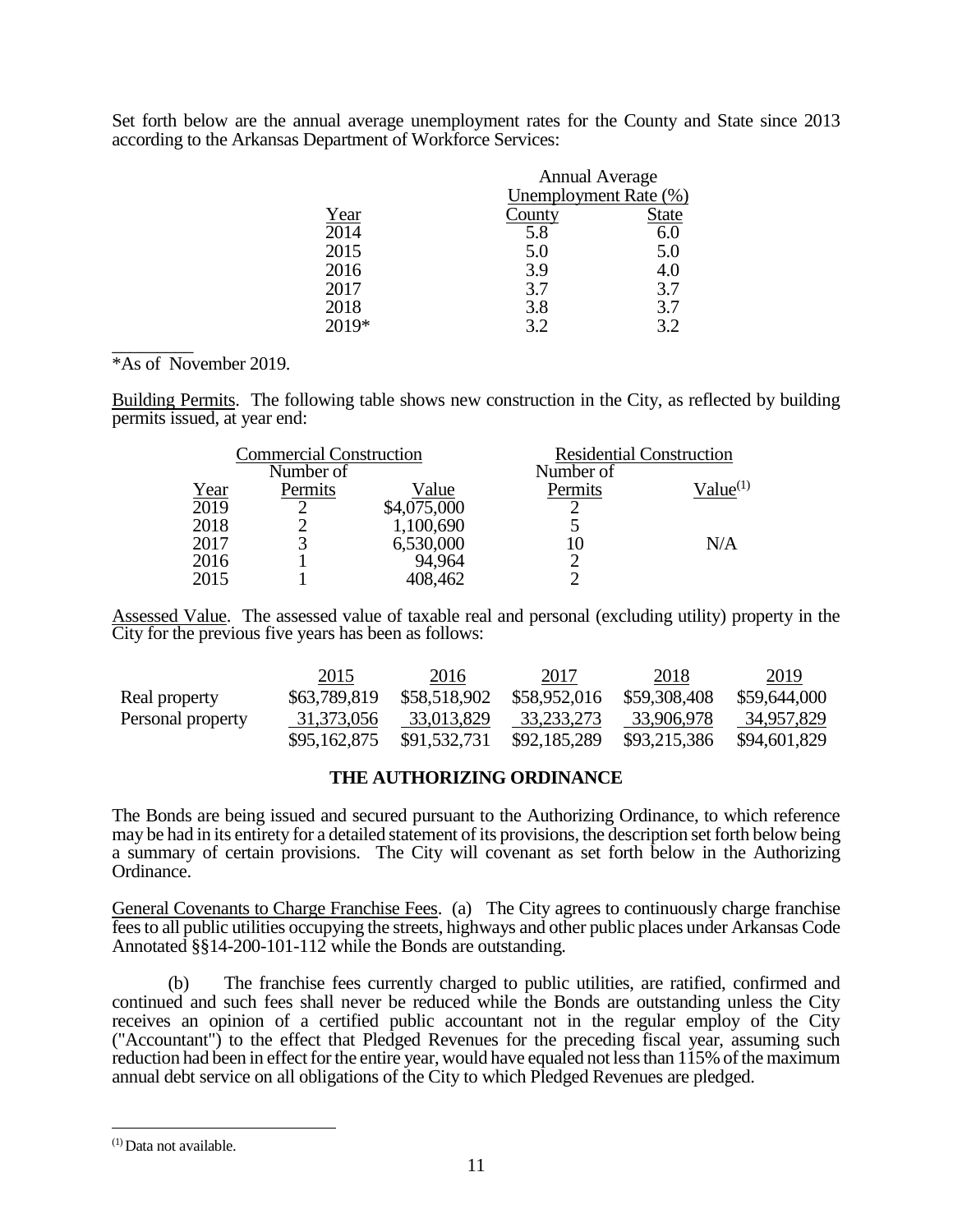Set forth below are the annual average unemployment rates for the County and State since 2013 according to the Arkansas Department of Workforce Services:

|         | <b>Annual Average</b>        |              |
|---------|------------------------------|--------------|
|         | <b>Unemployment Rate (%)</b> |              |
| Year    | County                       | <b>State</b> |
| 2014    | 5.8                          | 6.0          |
| 2015    | 5.0                          | 5.0          |
| 2016    | 3.9                          | 4.0          |
| 2017    | 3.7                          | 3.7          |
| 2018    | 3.8                          | 3.7          |
| $2019*$ | 32                           | 3.2          |

## $\overline{\phantom{a}}$ \*As of November 2019.

Building Permits. The following table shows new construction in the City, as reflected by building permits issued, at year end:

|      | <b>Commercial Construction</b> |             | <b>Residential Construction</b> |               |
|------|--------------------------------|-------------|---------------------------------|---------------|
|      | Number of                      |             | Number of                       |               |
| Year | Permits                        | Value       | Permits                         | $Value^{(1)}$ |
| 2019 | $\mathcal{D}$                  | \$4,075,000 |                                 |               |
| 2018 |                                | 1,100,690   |                                 |               |
| 2017 |                                | 6,530,000   |                                 | N/A           |
| 2016 |                                | 94,964      |                                 |               |
| 2015 |                                | 408,462     |                                 |               |

Assessed Value. The assessed value of taxable real and personal (excluding utility) property in the City for the previous five years has been as follows:

|                   | 2015         | 2016         | 2017         | 2018         | 2019         |
|-------------------|--------------|--------------|--------------|--------------|--------------|
| Real property     | \$63,789,819 | \$58,518,902 | \$58,952,016 | \$59,308,408 | \$59,644,000 |
| Personal property | 31,373,056   | 33,013,829   | 33,233,273   | 33,906,978   | 34,957,829   |
|                   | \$95,162,875 | \$91,532,731 | \$92,185,289 | \$93,215,386 | \$94,601,829 |

## **THE AUTHORIZING ORDINANCE**

The Bonds are being issued and secured pursuant to the Authorizing Ordinance, to which reference may be had in its entirety for a detailed statement of its provisions, the description set forth below being a summary of certain provisions. The City will covenant as set forth below in the Authorizing Ordinance.

General Covenants to Charge Franchise Fees. (a) The City agrees to continuously charge franchise fees to all public utilities occupying the streets, highways and other public places under Arkansas Code Annotated §§14-200-101-112 while the Bonds are outstanding.

(b) The franchise fees currently charged to public utilities, are ratified, confirmed and continued and such fees shall never be reduced while the Bonds are outstanding unless the City receives an opinion of a certified public accountant not in the regular employ of the City ("Accountant") to the effect that Pledged Revenues for the preceding fiscal year, assuming such reduction had been in effect for the entire year, would have equaled not less than 115% of the maximum annual debt service on all obligations of the City to which Pledged Revenues are pledged.

 $\overline{a}$ 

 $(1)$ Data not available.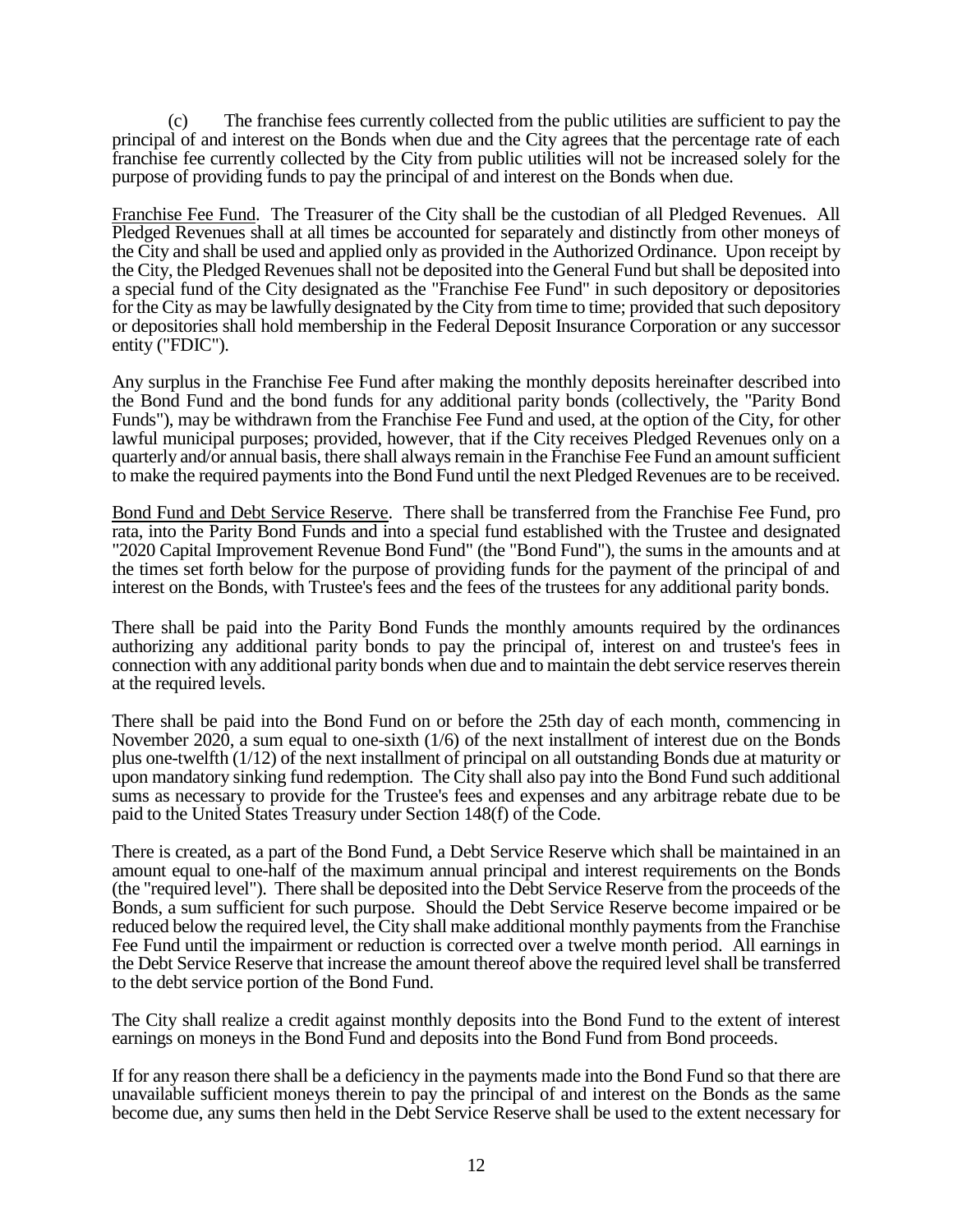(c) The franchise fees currently collected from the public utilities are sufficient to pay the principal of and interest on the Bonds when due and the City agrees that the percentage rate of each franchise fee currently collected by the City from public utilities will not be increased solely for the purpose of providing funds to pay the principal of and interest on the Bonds when due.

Franchise Fee Fund. The Treasurer of the City shall be the custodian of all Pledged Revenues. All Pledged Revenues shall at all times be accounted for separately and distinctly from other moneys of the City and shall be used and applied only as provided in the Authorized Ordinance. Upon receipt by the City, the Pledged Revenues shall not be deposited into the General Fund but shall be deposited into a special fund of the City designated as the "Franchise Fee Fund" in such depository or depositories for the City as may be lawfully designated by the City from time to time; provided that such depository or depositories shall hold membership in the Federal Deposit Insurance Corporation or any successor entity ("FDIC").

Any surplus in the Franchise Fee Fund after making the monthly deposits hereinafter described into the Bond Fund and the bond funds for any additional parity bonds (collectively, the "Parity Bond Funds"), may be withdrawn from the Franchise Fee Fund and used, at the option of the City, for other lawful municipal purposes; provided, however, that if the City receives Pledged Revenues only on a quarterly and/or annual basis, there shall always remain in the Franchise Fee Fund an amount sufficient to make the required payments into the Bond Fund until the next Pledged Revenues are to be received.

Bond Fund and Debt Service Reserve. There shall be transferred from the Franchise Fee Fund, pro rata, into the Parity Bond Funds and into a special fund established with the Trustee and designated "2020 Capital Improvement Revenue Bond Fund" (the "Bond Fund"), the sums in the amounts and at the times set forth below for the purpose of providing funds for the payment of the principal of and interest on the Bonds, with Trustee's fees and the fees of the trustees for any additional parity bonds.

There shall be paid into the Parity Bond Funds the monthly amounts required by the ordinances authorizing any additional parity bonds to pay the principal of, interest on and trustee's fees in connection with any additional parity bonds when due and to maintain the debt service reserves therein at the required levels.

There shall be paid into the Bond Fund on or before the 25th day of each month, commencing in November 2020, a sum equal to one-sixth (1/6) of the next installment of interest due on the Bonds plus one-twelfth (1/12) of the next installment of principal on all outstanding Bonds due at maturity or upon mandatory sinking fund redemption. The City shall also pay into the Bond Fund such additional sums as necessary to provide for the Trustee's fees and expenses and any arbitrage rebate due to be paid to the United States Treasury under Section 148(f) of the Code.

There is created, as a part of the Bond Fund, a Debt Service Reserve which shall be maintained in an amount equal to one-half of the maximum annual principal and interest requirements on the Bonds (the "required level"). There shall be deposited into the Debt Service Reserve from the proceeds of the Bonds, a sum sufficient for such purpose. Should the Debt Service Reserve become impaired or be reduced below the required level, the City shall make additional monthly payments from the Franchise Fee Fund until the impairment or reduction is corrected over a twelve month period. All earnings in the Debt Service Reserve that increase the amount thereof above the required level shall be transferred to the debt service portion of the Bond Fund.

The City shall realize a credit against monthly deposits into the Bond Fund to the extent of interest earnings on moneys in the Bond Fund and deposits into the Bond Fund from Bond proceeds.

If for any reason there shall be a deficiency in the payments made into the Bond Fund so that there are unavailable sufficient moneys therein to pay the principal of and interest on the Bonds as the same become due, any sums then held in the Debt Service Reserve shall be used to the extent necessary for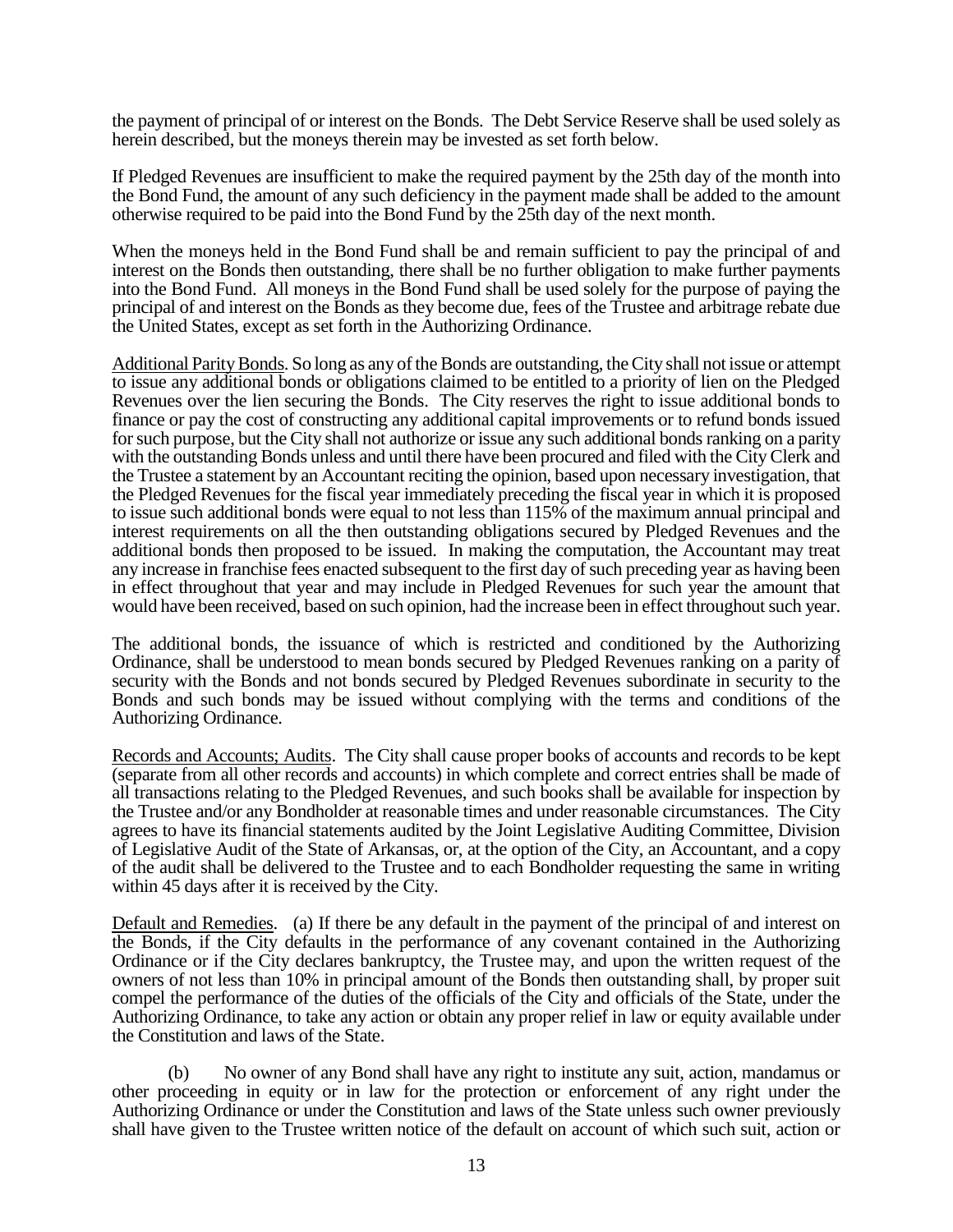the payment of principal of or interest on the Bonds. The Debt Service Reserve shall be used solely as herein described, but the moneys therein may be invested as set forth below.

If Pledged Revenues are insufficient to make the required payment by the 25th day of the month into the Bond Fund, the amount of any such deficiency in the payment made shall be added to the amount otherwise required to be paid into the Bond Fund by the 25th day of the next month.

When the moneys held in the Bond Fund shall be and remain sufficient to pay the principal of and interest on the Bonds then outstanding, there shall be no further obligation to make further payments into the Bond Fund. All moneys in the Bond Fund shall be used solely for the purpose of paying the principal of and interest on the Bonds as they become due, fees of the Trustee and arbitrage rebate due the United States, except as set forth in the Authorizing Ordinance.

Additional Parity Bonds. So long as any of the Bonds are outstanding, the City shall not issue or attempt to issue any additional bonds or obligations claimed to be entitled to a priority of lien on the Pledged Revenues over the lien securing the Bonds. The City reserves the right to issue additional bonds to finance or pay the cost of constructing any additional capital improvements or to refund bonds issued for such purpose, but the City shall not authorize or issue any such additional bonds ranking on a parity with the outstanding Bonds unless and until there have been procured and filed with the City Clerk and the Trustee a statement by an Accountant reciting the opinion, based upon necessary investigation, that the Pledged Revenues for the fiscal year immediately preceding the fiscal year in which it is proposed to issue such additional bonds were equal to not less than 115% of the maximum annual principal and interest requirements on all the then outstanding obligations secured by Pledged Revenues and the additional bonds then proposed to be issued. In making the computation, the Accountant may treat any increase in franchise fees enacted subsequent to the first day of such preceding year as having been in effect throughout that year and may include in Pledged Revenues for such year the amount that would have been received, based on such opinion, had the increase been in effect throughout such year.

The additional bonds, the issuance of which is restricted and conditioned by the Authorizing Ordinance, shall be understood to mean bonds secured by Pledged Revenues ranking on a parity of security with the Bonds and not bonds secured by Pledged Revenues subordinate in security to the Bonds and such bonds may be issued without complying with the terms and conditions of the Authorizing Ordinance.

Records and Accounts; Audits. The City shall cause proper books of accounts and records to be kept (separate from all other records and accounts) in which complete and correct entries shall be made of all transactions relating to the Pledged Revenues, and such books shall be available for inspection by the Trustee and/or any Bondholder at reasonable times and under reasonable circumstances. The City agrees to have its financial statements audited by the Joint Legislative Auditing Committee, Division of Legislative Audit of the State of Arkansas, or, at the option of the City, an Accountant, and a copy of the audit shall be delivered to the Trustee and to each Bondholder requesting the same in writing within 45 days after it is received by the City.

Default and Remedies. (a) If there be any default in the payment of the principal of and interest on the Bonds, if the City defaults in the performance of any covenant contained in the Authorizing Ordinance or if the City declares bankruptcy, the Trustee may, and upon the written request of the owners of not less than 10% in principal amount of the Bonds then outstanding shall, by proper suit compel the performance of the duties of the officials of the City and officials of the State, under the Authorizing Ordinance, to take any action or obtain any proper relief in law or equity available under the Constitution and laws of the State.

(b) No owner of any Bond shall have any right to institute any suit, action, mandamus or other proceeding in equity or in law for the protection or enforcement of any right under the Authorizing Ordinance or under the Constitution and laws of the State unless such owner previously shall have given to the Trustee written notice of the default on account of which such suit, action or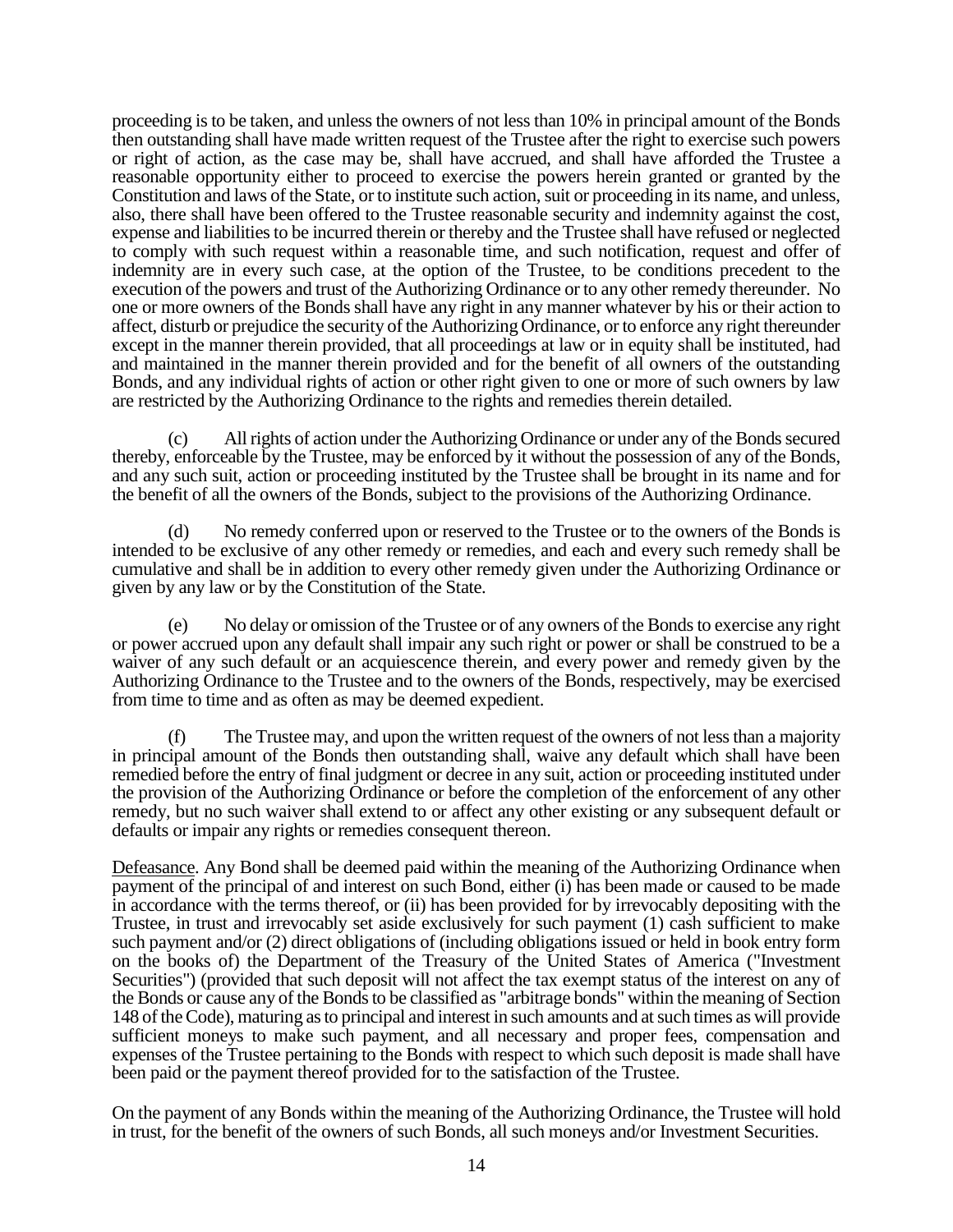proceeding is to be taken, and unless the owners of not less than 10% in principal amount of the Bonds then outstanding shall have made written request of the Trustee after the right to exercise such powers or right of action, as the case may be, shall have accrued, and shall have afforded the Trustee a reasonable opportunity either to proceed to exercise the powers herein granted or granted by the Constitution and laws of the State, or to institute such action, suit or proceeding in its name, and unless, also, there shall have been offered to the Trustee reasonable security and indemnity against the cost, expense and liabilities to be incurred therein or thereby and the Trustee shall have refused or neglected to comply with such request within a reasonable time, and such notification, request and offer of indemnity are in every such case, at the option of the Trustee, to be conditions precedent to the execution of the powers and trust of the Authorizing Ordinance or to any other remedy thereunder. No one or more owners of the Bonds shall have any right in any manner whatever by his or their action to affect, disturb or prejudice the security of the Authorizing Ordinance, or to enforce any right thereunder except in the manner therein provided, that all proceedings at law or in equity shall be instituted, had and maintained in the manner therein provided and for the benefit of all owners of the outstanding Bonds, and any individual rights of action or other right given to one or more of such owners by law are restricted by the Authorizing Ordinance to the rights and remedies therein detailed.

(c) All rights of action under the Authorizing Ordinance or under any of the Bonds secured thereby, enforceable by the Trustee, may be enforced by it without the possession of any of the Bonds, and any such suit, action or proceeding instituted by the Trustee shall be brought in its name and for the benefit of all the owners of the Bonds, subject to the provisions of the Authorizing Ordinance.

(d) No remedy conferred upon or reserved to the Trustee or to the owners of the Bonds is intended to be exclusive of any other remedy or remedies, and each and every such remedy shall be cumulative and shall be in addition to every other remedy given under the Authorizing Ordinance or given by any law or by the Constitution of the State.

(e) No delay or omission of the Trustee or of any owners of the Bonds to exercise any right or power accrued upon any default shall impair any such right or power or shall be construed to be a waiver of any such default or an acquiescence therein, and every power and remedy given by the Authorizing Ordinance to the Trustee and to the owners of the Bonds, respectively, may be exercised from time to time and as often as may be deemed expedient.

(f) The Trustee may, and upon the written request of the owners of not less than a majority in principal amount of the Bonds then outstanding shall, waive any default which shall have been remedied before the entry of final judgment or decree in any suit, action or proceeding instituted under the provision of the Authorizing Ordinance or before the completion of the enforcement of any other remedy, but no such waiver shall extend to or affect any other existing or any subsequent default or defaults or impair any rights or remedies consequent thereon.

Defeasance. Any Bond shall be deemed paid within the meaning of the Authorizing Ordinance when payment of the principal of and interest on such Bond, either (i) has been made or caused to be made in accordance with the terms thereof, or (ii) has been provided for by irrevocably depositing with the Trustee, in trust and irrevocably set aside exclusively for such payment (1) cash sufficient to make such payment and/or (2) direct obligations of (including obligations issued or held in book entry form on the books of) the Department of the Treasury of the United States of America ("Investment Securities") (provided that such deposit will not affect the tax exempt status of the interest on any of the Bonds or cause any of the Bonds to be classified as "arbitrage bonds" within the meaning of Section 148 of the Code), maturing as to principal and interest in such amounts and at such times as will provide sufficient moneys to make such payment, and all necessary and proper fees, compensation and expenses of the Trustee pertaining to the Bonds with respect to which such deposit is made shall have been paid or the payment thereof provided for to the satisfaction of the Trustee.

On the payment of any Bonds within the meaning of the Authorizing Ordinance, the Trustee will hold in trust, for the benefit of the owners of such Bonds, all such moneys and/or Investment Securities.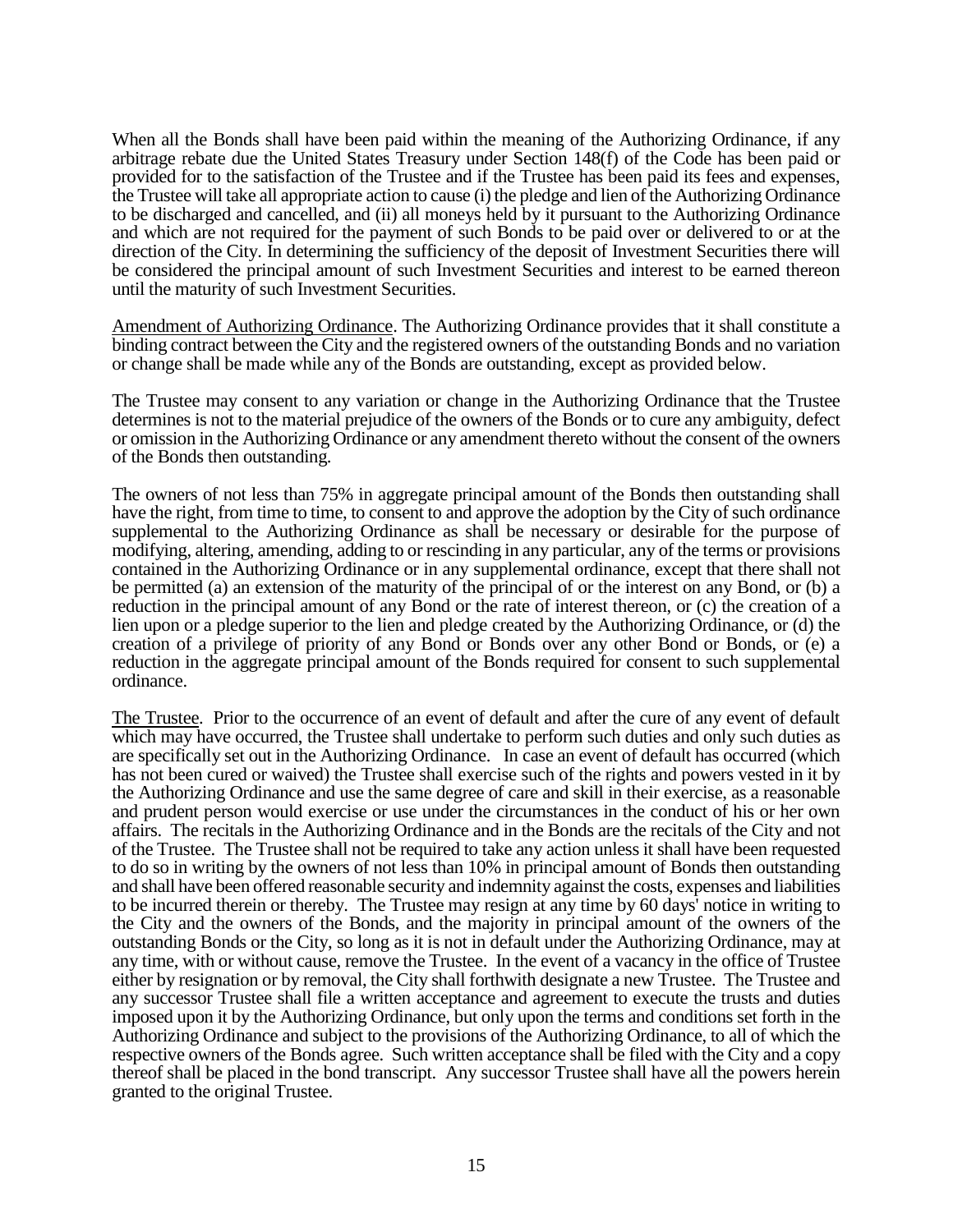When all the Bonds shall have been paid within the meaning of the Authorizing Ordinance, if any arbitrage rebate due the United States Treasury under Section 148(f) of the Code has been paid or provided for to the satisfaction of the Trustee and if the Trustee has been paid its fees and expenses, the Trustee will take all appropriate action to cause (i) the pledge and lien of the Authorizing Ordinance to be discharged and cancelled, and (ii) all moneys held by it pursuant to the Authorizing Ordinance and which are not required for the payment of such Bonds to be paid over or delivered to or at the direction of the City. In determining the sufficiency of the deposit of Investment Securities there will be considered the principal amount of such Investment Securities and interest to be earned thereon until the maturity of such Investment Securities.

Amendment of Authorizing Ordinance. The Authorizing Ordinance provides that it shall constitute a binding contract between the City and the registered owners of the outstanding Bonds and no variation or change shall be made while any of the Bonds are outstanding, except as provided below.

The Trustee may consent to any variation or change in the Authorizing Ordinance that the Trustee determines is not to the material prejudice of the owners of the Bonds or to cure any ambiguity, defect or omission in the Authorizing Ordinance or any amendment thereto without the consent of the owners of the Bonds then outstanding.

The owners of not less than 75% in aggregate principal amount of the Bonds then outstanding shall have the right, from time to time, to consent to and approve the adoption by the City of such ordinance supplemental to the Authorizing Ordinance as shall be necessary or desirable for the purpose of modifying, altering, amending, adding to or rescinding in any particular, any of the terms or provisions contained in the Authorizing Ordinance or in any supplemental ordinance, except that there shall not be permitted (a) an extension of the maturity of the principal of or the interest on any Bond, or (b) a reduction in the principal amount of any Bond or the rate of interest thereon, or (c) the creation of a lien upon or a pledge superior to the lien and pledge created by the Authorizing Ordinance, or (d) the creation of a privilege of priority of any Bond or Bonds over any other Bond or Bonds, or (e) a reduction in the aggregate principal amount of the Bonds required for consent to such supplemental ordinance.

The Trustee. Prior to the occurrence of an event of default and after the cure of any event of default which may have occurred, the Trustee shall undertake to perform such duties and only such duties as are specifically set out in the Authorizing Ordinance. In case an event of default has occurred (which has not been cured or waived) the Trustee shall exercise such of the rights and powers vested in it by the Authorizing Ordinance and use the same degree of care and skill in their exercise, as a reasonable and prudent person would exercise or use under the circumstances in the conduct of his or her own affairs. The recitals in the Authorizing Ordinance and in the Bonds are the recitals of the City and not of the Trustee. The Trustee shall not be required to take any action unless it shall have been requested to do so in writing by the owners of not less than 10% in principal amount of Bonds then outstanding and shall have been offered reasonable security and indemnity against the costs, expenses and liabilities to be incurred therein or thereby. The Trustee may resign at any time by 60 days' notice in writing to the City and the owners of the Bonds, and the majority in principal amount of the owners of the outstanding Bonds or the City, so long as it is not in default under the Authorizing Ordinance, may at any time, with or without cause, remove the Trustee. In the event of a vacancy in the office of Trustee either by resignation or by removal, the City shall forthwith designate a new Trustee. The Trustee and any successor Trustee shall file a written acceptance and agreement to execute the trusts and duties imposed upon it by the Authorizing Ordinance, but only upon the terms and conditions set forth in the Authorizing Ordinance and subject to the provisions of the Authorizing Ordinance, to all of which the respective owners of the Bonds agree. Such written acceptance shall be filed with the City and a copy thereof shall be placed in the bond transcript. Any successor Trustee shall have all the powers herein granted to the original Trustee.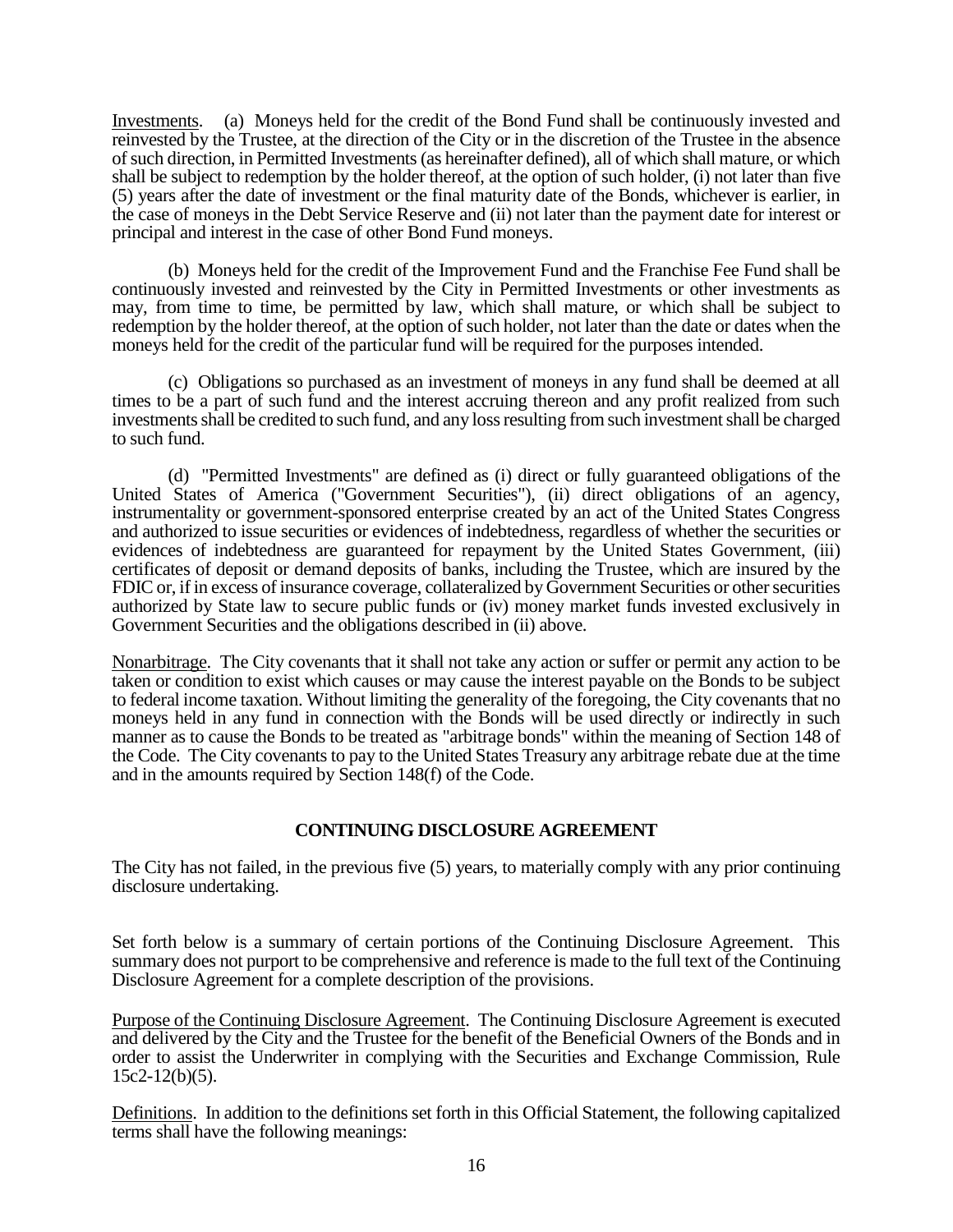Investments. (a) Moneys held for the credit of the Bond Fund shall be continuously invested and reinvested by the Trustee, at the direction of the City or in the discretion of the Trustee in the absence of such direction, in Permitted Investments (as hereinafter defined), all of which shall mature, or which shall be subject to redemption by the holder thereof, at the option of such holder, (i) not later than five (5) years after the date of investment or the final maturity date of the Bonds, whichever is earlier, in the case of moneys in the Debt Service Reserve and (ii) not later than the payment date for interest or principal and interest in the case of other Bond Fund moneys.

(b) Moneys held for the credit of the Improvement Fund and the Franchise Fee Fund shall be continuously invested and reinvested by the City in Permitted Investments or other investments as may, from time to time, be permitted by law, which shall mature, or which shall be subject to redemption by the holder thereof, at the option of such holder, not later than the date or dates when the moneys held for the credit of the particular fund will be required for the purposes intended.

(c) Obligations so purchased as an investment of moneys in any fund shall be deemed at all times to be a part of such fund and the interest accruing thereon and any profit realized from such investments shall be credited to such fund, and any loss resulting from such investment shall be charged to such fund.

(d) "Permitted Investments" are defined as (i) direct or fully guaranteed obligations of the United States of America ("Government Securities"), (ii) direct obligations of an agency, instrumentality or government-sponsored enterprise created by an act of the United States Congress and authorized to issue securities or evidences of indebtedness, regardless of whether the securities or evidences of indebtedness are guaranteed for repayment by the United States Government, (iii) certificates of deposit or demand deposits of banks, including the Trustee, which are insured by the FDIC or, if in excess of insurance coverage, collateralized by Government Securities or other securities authorized by State law to secure public funds or (iv) money market funds invested exclusively in Government Securities and the obligations described in (ii) above.

Nonarbitrage. The City covenants that it shall not take any action or suffer or permit any action to be taken or condition to exist which causes or may cause the interest payable on the Bonds to be subject to federal income taxation. Without limiting the generality of the foregoing, the City covenants that no moneys held in any fund in connection with the Bonds will be used directly or indirectly in such manner as to cause the Bonds to be treated as "arbitrage bonds" within the meaning of Section 148 of the Code. The City covenants to pay to the United States Treasury any arbitrage rebate due at the time and in the amounts required by Section 148(f) of the Code.

# **CONTINUING DISCLOSURE AGREEMENT**

The City has not failed, in the previous five (5) years, to materially comply with any prior continuing disclosure undertaking.

Set forth below is a summary of certain portions of the Continuing Disclosure Agreement. This summary does not purport to be comprehensive and reference is made to the full text of the Continuing Disclosure Agreement for a complete description of the provisions.

Purpose of the Continuing Disclosure Agreement. The Continuing Disclosure Agreement is executed and delivered by the City and the Trustee for the benefit of the Beneficial Owners of the Bonds and in order to assist the Underwriter in complying with the Securities and Exchange Commission, Rule  $15c2-12(b)(5)$ .

Definitions. In addition to the definitions set forth in this Official Statement, the following capitalized terms shall have the following meanings: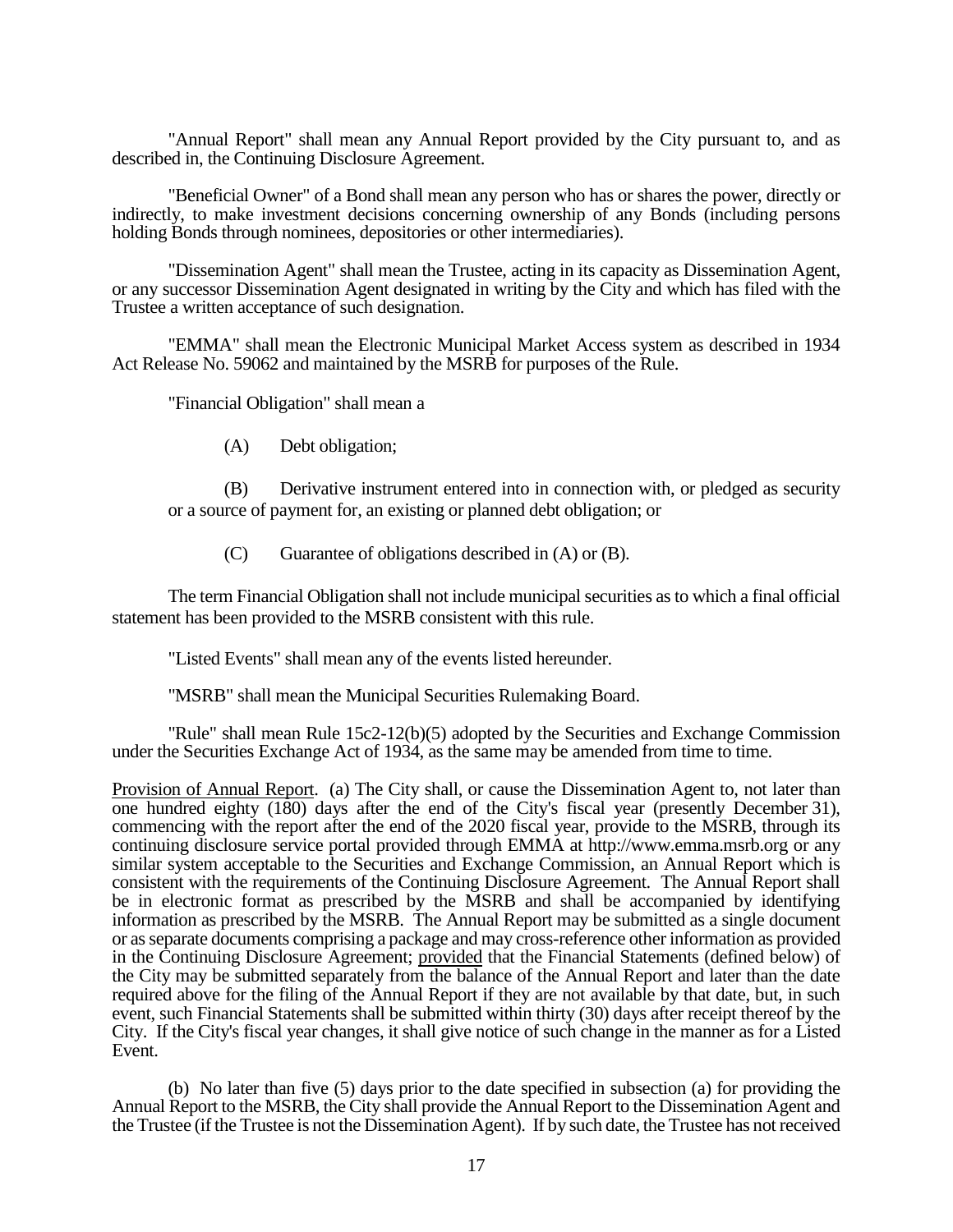"Annual Report" shall mean any Annual Report provided by the City pursuant to, and as described in, the Continuing Disclosure Agreement.

"Beneficial Owner" of a Bond shall mean any person who has or shares the power, directly or indirectly, to make investment decisions concerning ownership of any Bonds (including persons holding Bonds through nominees, depositories or other intermediaries).

"Dissemination Agent" shall mean the Trustee, acting in its capacity as Dissemination Agent, or any successor Dissemination Agent designated in writing by the City and which has filed with the Trustee a written acceptance of such designation.

"EMMA" shall mean the Electronic Municipal Market Access system as described in 1934 Act Release No. 59062 and maintained by the MSRB for purposes of the Rule.

"Financial Obligation" shall mean a

(A) Debt obligation;

(B) Derivative instrument entered into in connection with, or pledged as security or a source of payment for, an existing or planned debt obligation; or

 $(C)$  Guarantee of obligations described in  $(A)$  or  $(B)$ .

The term Financial Obligation shall not include municipal securities as to which a final official statement has been provided to the MSRB consistent with this rule.

"Listed Events" shall mean any of the events listed hereunder.

"MSRB" shall mean the Municipal Securities Rulemaking Board.

"Rule" shall mean Rule  $15c2-12(b)(5)$  adopted by the Securities and Exchange Commission under the Securities Exchange Act of 1934, as the same may be amended from time to time.

Provision of Annual Report. (a) The City shall, or cause the Dissemination Agent to, not later than one hundred eighty (180) days after the end of the City's fiscal year (presently December 31), commencing with the report after the end of the 2020 fiscal year, provide to the MSRB, through its continuing disclosure service portal provided through EMMA at http://www.emma.msrb.org or any similar system acceptable to the Securities and Exchange Commission, an Annual Report which is consistent with the requirements of the Continuing Disclosure Agreement. The Annual Report shall be in electronic format as prescribed by the MSRB and shall be accompanied by identifying information as prescribed by the MSRB. The Annual Report may be submitted as a single document or as separate documents comprising a package and may cross-reference other information as provided in the Continuing Disclosure Agreement; provided that the Financial Statements (defined below) of the City may be submitted separately from the balance of the Annual Report and later than the date required above for the filing of the Annual Report if they are not available by that date, but, in such event, such Financial Statements shall be submitted within thirty (30) days after receipt thereof by the City. If the City's fiscal year changes, it shall give notice of such change in the manner as for a Listed Event.

(b) No later than five (5) days prior to the date specified in subsection (a) for providing the Annual Report to the MSRB, the City shall provide the Annual Report to the Dissemination Agent and the Trustee (if the Trustee is not the Dissemination Agent). If by such date, the Trustee has not received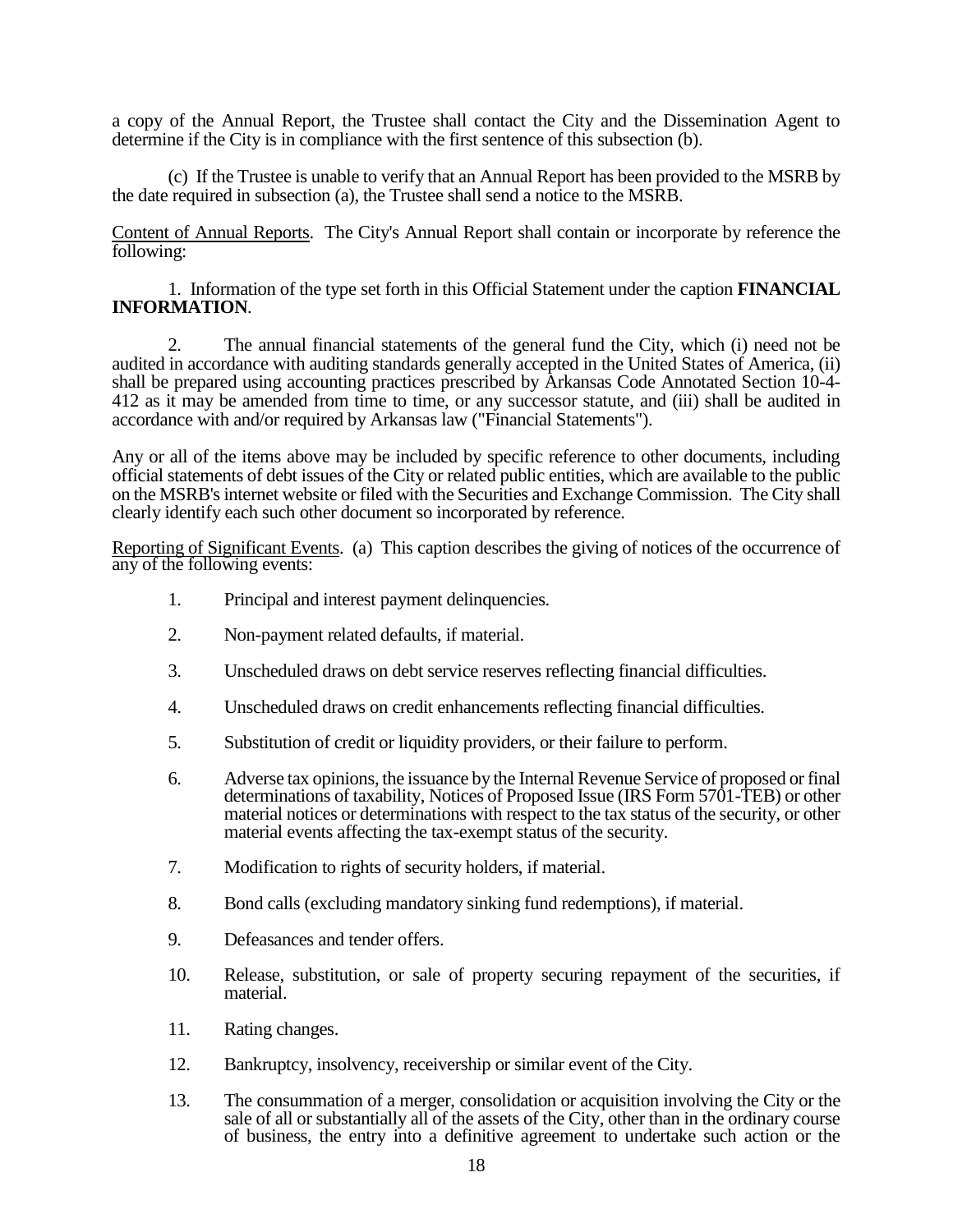a copy of the Annual Report, the Trustee shall contact the City and the Dissemination Agent to determine if the City is in compliance with the first sentence of this subsection (b).

(c) If the Trustee is unable to verify that an Annual Report has been provided to the MSRB by the date required in subsection (a), the Trustee shall send a notice to the MSRB.

Content of Annual Reports. The City's Annual Report shall contain or incorporate by reference the following:

1. Information of the type set forth in this Official Statement under the caption **FINANCIAL INFORMATION**.

2. The annual financial statements of the general fund the City, which (i) need not be audited in accordance with auditing standards generally accepted in the United States of America, (ii) shall be prepared using accounting practices prescribed by Arkansas Code Annotated Section 10-4- 412 as it may be amended from time to time, or any successor statute, and (iii) shall be audited in accordance with and/or required by Arkansas law ("Financial Statements").

Any or all of the items above may be included by specific reference to other documents, including official statements of debt issues of the City or related public entities, which are available to the public on the MSRB's internet website or filed with the Securities and Exchange Commission. The City shall clearly identify each such other document so incorporated by reference.

Reporting of Significant Events. (a) This caption describes the giving of notices of the occurrence of any of the following events:

- 1. Principal and interest payment delinquencies.
- 2. Non-payment related defaults, if material.
- 3. Unscheduled draws on debt service reserves reflecting financial difficulties.
- 4. Unscheduled draws on credit enhancements reflecting financial difficulties.
- 5. Substitution of credit or liquidity providers, or their failure to perform.
- 6. Adverse tax opinions, the issuance by the Internal Revenue Service of proposed or final determinations of taxability, Notices of Proposed Issue (IRS Form 5701-TEB) or other material notices or determinations with respect to the tax status of the security, or other material events affecting the tax-exempt status of the security.
- 7. Modification to rights of security holders, if material.
- 8. Bond calls (excluding mandatory sinking fund redemptions), if material.
- 9. Defeasances and tender offers.
- 10. Release, substitution, or sale of property securing repayment of the securities, if material.
- 11. Rating changes.
- 12. Bankruptcy, insolvency, receivership or similar event of the City.
- 13. The consummation of a merger, consolidation or acquisition involving the City or the sale of all or substantially all of the assets of the City, other than in the ordinary course of business, the entry into a definitive agreement to undertake such action or the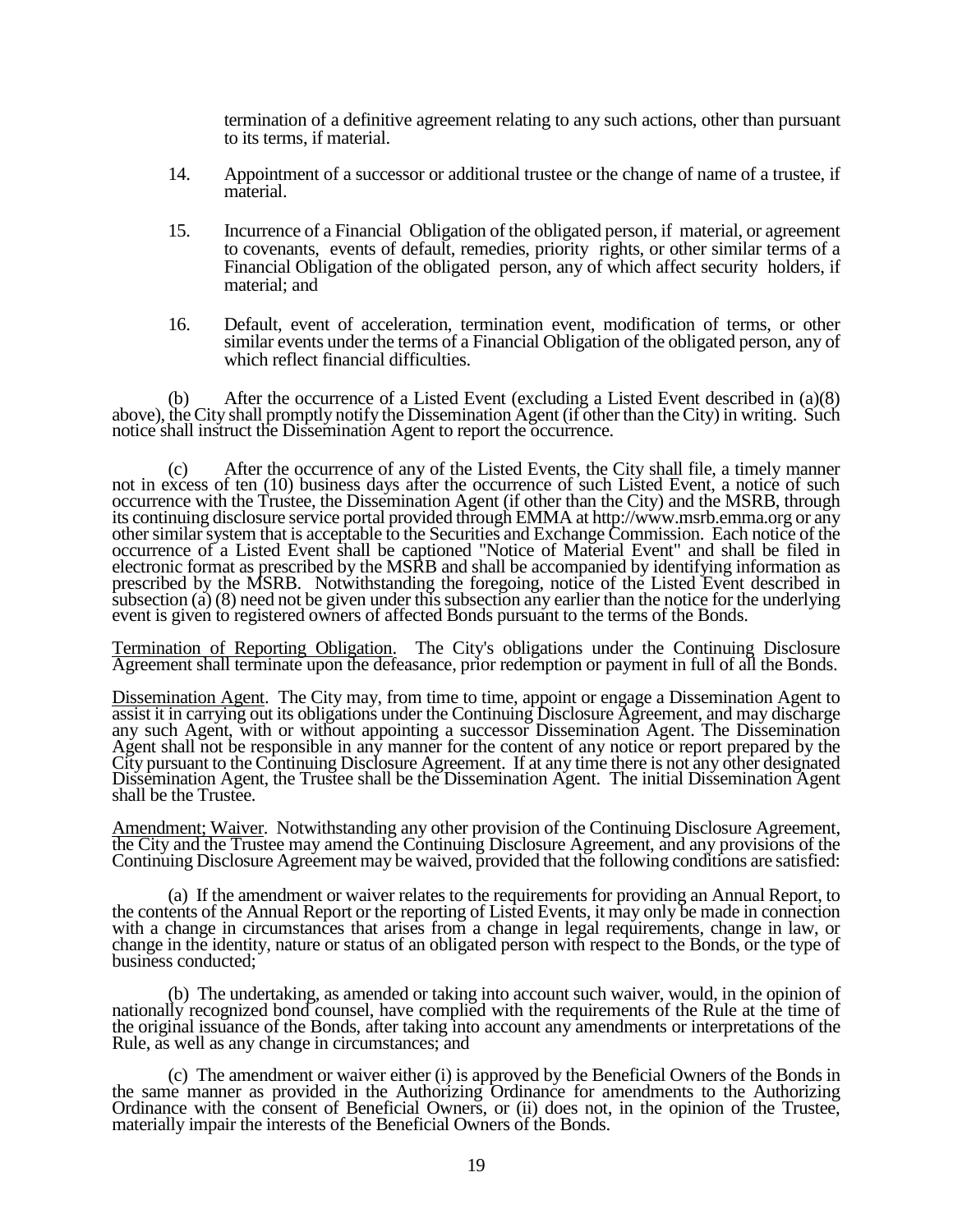termination of a definitive agreement relating to any such actions, other than pursuant to its terms, if material.

- 14. Appointment of a successor or additional trustee or the change of name of a trustee, if material.
- 15. Incurrence of a Financial Obligation of the obligated person, if material, or agreement to covenants, events of default, remedies, priority rights, or other similar terms of a Financial Obligation of the obligated person, any of which affect security holders, if material; and
- 16. Default, event of acceleration, termination event, modification of terms, or other similar events under the terms of a Financial Obligation of the obligated person, any of which reflect financial difficulties.

(b) After the occurrence of a Listed Event (excluding a Listed Event described in  $(a)(8)$ above), the City shall promptly notify the Dissemination Agent (if other than the City) in writing. Such notice shall instruct the Dissemination Agent to report the occurrence.

(c) After the occurrence of any of the Listed Events, the City shall file, a timely manner not in excess of ten (10) business days after the occurrence of such Listed Event, a notice of such occurrence with the Trustee, the Dissemination Agent (if other than the City) and the MSRB, through its continuing disclosure service portal provided through EMMA at http://www.msrb.emma.org or any other similar system that is acceptable to the Securities and Exchange Commission. Each notice of the occurrence of a Listed Event shall be captioned "Notice of Material Event" and shall be filed in electronic format as prescribed by the MSRB and shall be accompanied by identifying information as prescribed by the MSRB. Notwithstanding the foregoing, notice of the Listed Event described in subsection (a) (8) need not be given under this subsection any earlier than the notice for the underlying event is given to registered owners of affected Bonds pursuant to the terms of the Bonds.

Termination of Reporting Obligation. The City's obligations under the Continuing Disclosure Agreement shall terminate upon the defeasance, prior redemption or payment in full of all the Bonds.

Dissemination Agent. The City may, from time to time, appoint or engage a Dissemination Agent to assist it in carrying out its obligations under the Continuing Disclosure Agreement, and may discharge any such Agent, with or without appointing a successor Dissemination Agent. The Dissemination Agent shall not be responsible in any manner for the content of any notice or report prepared by the City pursuant to the Continuing Disclosure Agreement. If at any time there is not any other designated Dissemination Agent, the Trustee shall be the Dissemination Agent. The initial Dissemination Agent shall be the Trustee.

Amendment; Waiver. Notwithstanding any other provision of the Continuing Disclosure Agreement, the City and the Trustee may amend the Continuing Disclosure Agreement, and any provisions of the Continuing Disclosure Agreement may be waived, provided that the following conditions are satisfied:

(a) If the amendment or waiver relates to the requirements for providing an Annual Report, to the contents of the Annual Report or the reporting of Listed Events, it may only be made in connection with a change in circumstances that arises from a change in legal requirements, change in law, or change in the identity, nature or status of an obligated person with respect to the Bonds, or the type of business conducted;

(b) The undertaking, as amended or taking into account such waiver, would, in the opinion of nationally recognized bond counsel, have complied with the requirements of the Rule at the time of the original issuance of the Bonds, after taking into account any amendments or interpretations of the Rule, as well as any change in circumstances; and

(c) The amendment or waiver either (i) is approved by the Beneficial Owners of the Bonds in the same manner as provided in the Authorizing Ordinance for amendments to the Authorizing Ordinance with the consent of Beneficial Owners, or (ii) does not, in the opinion of the Trustee, materially impair the interests of the Beneficial Owners of the Bonds.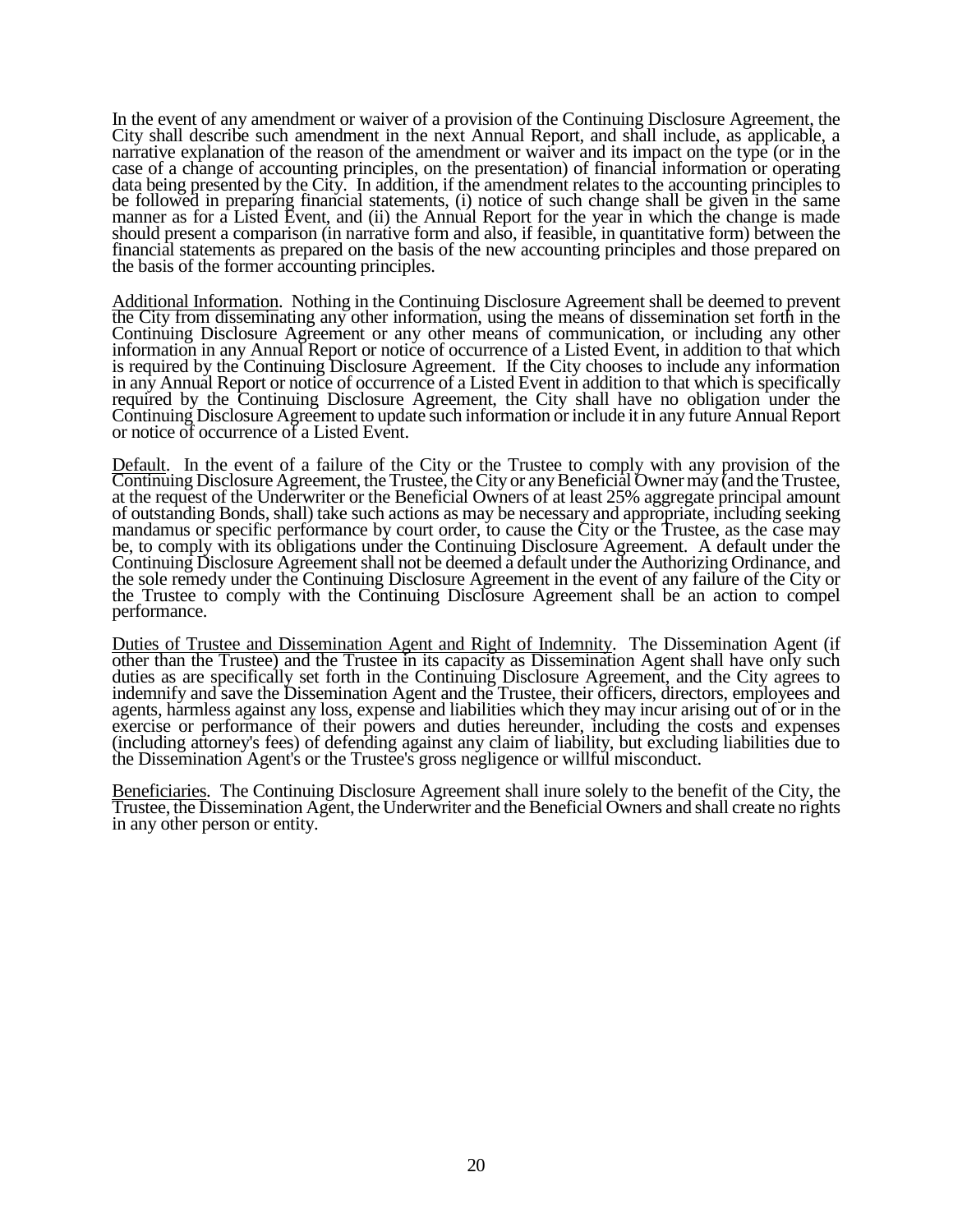In the event of any amendment or waiver of a provision of the Continuing Disclosure Agreement, the City shall describe such amendment in the next Annual Report, and shall include, as applicable, a narrative explanation of the reason of the amendment or waiver and its impact on the type (or in the case of a change of accounting principles, on the presentation) of financial information or operating data being presented by the City. In addition, if the amendment relates to the accounting principles to be followed in preparing financial statements, (i) notice of such change shall be given in the same manner as for a Listed Event, and (ii) the Annual Report for the year in which the change is made should present a comparison (in narrative form and also, if feasible, in quantitative form) between the financial statements as prepared on the basis of the new accounting principles and those prepared on the basis of the former accounting principles.

Additional Information. Nothing in the Continuing Disclosure Agreement shall be deemed to prevent the City from disseminating any other information, using the means of dissemination set forth in the Continuing Disclosure Agreement or any other means of communication, or including any other information in any Annual Report or notice of occurrence of a Listed Event, in addition to that which is required by the Continuing Disclosure Agreement. If the City chooses to include any information in any Annual Report or notice of occurrence of a Listed Event in addition to that which is specifically required by the Continuing Disclosure Agreement, the City shall have no obligation under the Continuing Disclosure Agreement to update such information or include it in any future Annual Report or notice of occurrence of a Listed Event.

Default. In the event of a failure of the City or the Trustee to comply with any provision of the Continuing Disclosure Agreement, the Trustee, the City or any Beneficial Owner may (and the Trustee, at the request of the Underwriter or the Beneficial Owners of at least 25% aggregate principal amount of outstanding Bonds, shall) take such actions as may be necessary and appropriate, including seeking mandamus or specific performance by court order, to cause the City or the Trustee, as the case may be, to comply with its obligations under the Continuing Disclosure Agreement. A default under the Continuing Disclosure Agreement shall not be deemed a default under the Authorizing Ordinance, and the sole remedy under the Continuing Disclosure Agreement in the event of any failure of the City or the Trustee to comply with the Continuing Disclosure Agreement shall be an action to compel performance.

Duties of Trustee and Dissemination Agent and Right of Indemnity. The Dissemination Agent (if other than the Trustee) and the Trustee in its capacity as Dissemination Agent shall have only such duties as are specifically set forth in the Continuing Disclosure Agreement, and the City agrees to indemnify and save the Dissemination Agent and the Trustee, their officers, directors, employees and agents, harmless against any loss, expense and liabilities which they may incur arising out of or in the exercise or performance of their powers and duties hereunder, including the costs and expenses (including attorney's fees) of defending against any claim of liability, but excluding liabilities due to the Dissemination Agent's or the Trustee's gross negligence or willful misconduct.

Beneficiaries. The Continuing Disclosure Agreement shall inure solely to the benefit of the City, the Trustee, the Dissemination Agent, the Underwriter and the Beneficial Owners and shall create no rights in any other person or entity.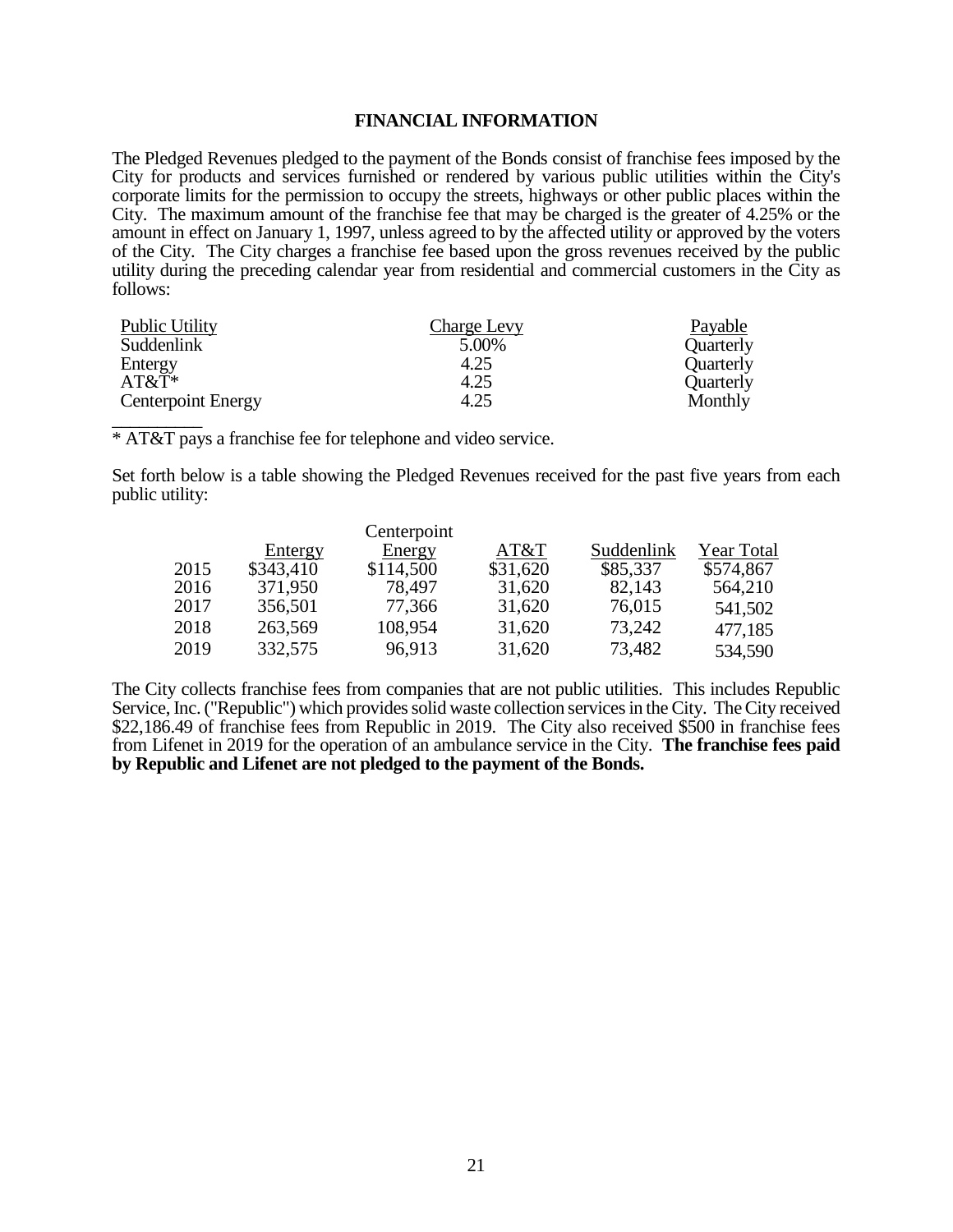## **FINANCIAL INFORMATION**

The Pledged Revenues pledged to the payment of the Bonds consist of franchise fees imposed by the City for products and services furnished or rendered by various public utilities within the City's corporate limits for the permission to occupy the streets, highways or other public places within the City. The maximum amount of the franchise fee that may be charged is the greater of 4.25% or the amount in effect on January 1, 1997, unless agreed to by the affected utility or approved by the voters of the City. The City charges a franchise fee based upon the gross revenues received by the public utility during the preceding calendar year from residential and commercial customers in the City as follows:

| <b>Public Utility</b>     | Charge Levy | Payable   |
|---------------------------|-------------|-----------|
| Suddenlink                | 5.00%       | Quarterly |
| Entergy                   | 4.25        | Quarterly |
| $AT&T*$                   | 4.25        | Quarterly |
| <b>Centerpoint Energy</b> | 4.25        | Monthly   |
|                           |             |           |

\* AT&T pays a franchise fee for telephone and video service.

Set forth below is a table showing the Pledged Revenues received for the past five years from each public utility:

|      |           | Centerpoint   |          |            |            |
|------|-----------|---------------|----------|------------|------------|
|      | Entergy   | <b>Energy</b> | AT&T     | Suddenlink | Year Total |
| 2015 | \$343,410 | \$114,500     | \$31,620 | \$85,337   | \$574,867  |
| 2016 | 371,950   | 78,497        | 31,620   | 82,143     | 564,210    |
| 2017 | 356,501   | 77,366        | 31,620   | 76,015     | 541,502    |
| 2018 | 263,569   | 108,954       | 31,620   | 73,242     | 477,185    |
| 2019 | 332,575   | 96,913        | 31,620   | 73,482     | 534,590    |

The City collects franchise fees from companies that are not public utilities. This includes Republic Service, Inc. ("Republic") which provides solid waste collection services in the City. The City received \$22,186.49 of franchise fees from Republic in 2019. The City also received \$500 in franchise fees from Lifenet in 2019 for the operation of an ambulance service in the City. **The franchise fees paid by Republic and Lifenet are not pledged to the payment of the Bonds.**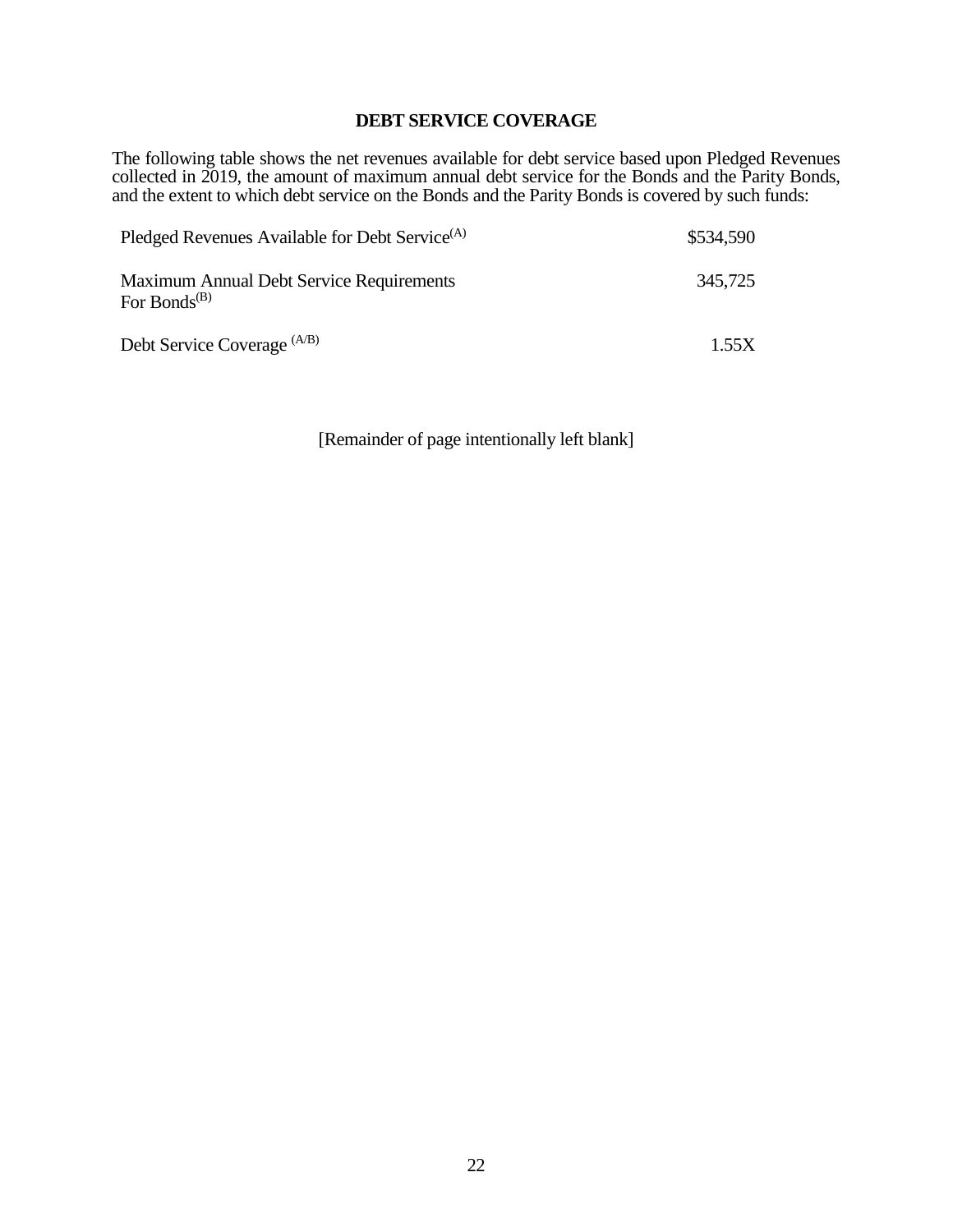## **DEBT SERVICE COVERAGE**

The following table shows the net revenues available for debt service based upon Pledged Revenues collected in 2019, the amount of maximum annual debt service for the Bonds and the Parity Bonds, and the extent to which debt service on the Bonds and the Parity Bonds is covered by such funds:

| Pledged Revenues Available for Debt Service <sup>(A)</sup>                        | \$534,590 |
|-----------------------------------------------------------------------------------|-----------|
| Maximum Annual Debt Service Requirements<br>For Bonds <sup><math>(B)</math></sup> | 345,725   |
| Debt Service Coverage (A/B)                                                       | 1.55X     |

[Remainder of page intentionally left blank]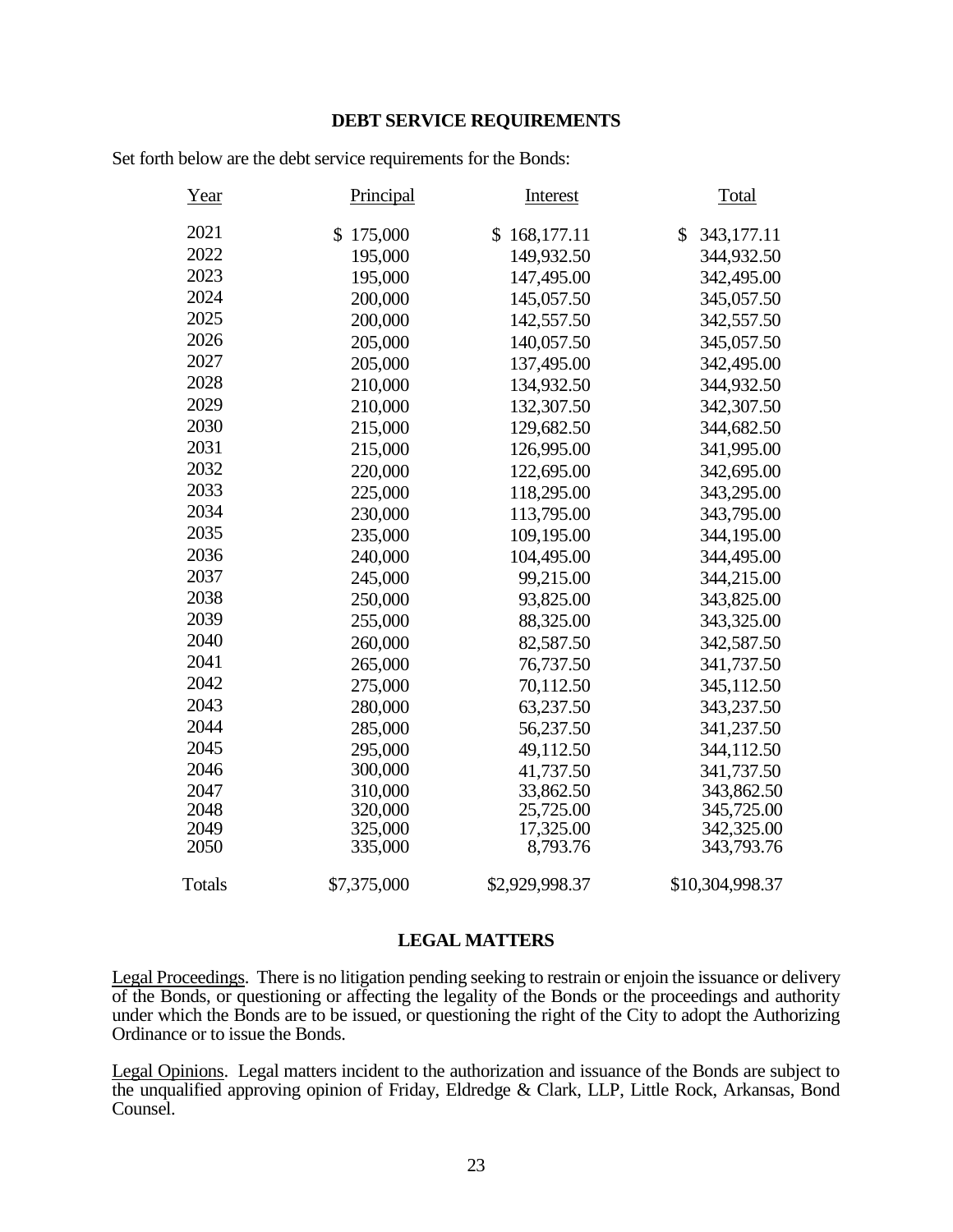## **DEBT SERVICE REQUIREMENTS**

Set forth below are the debt service requirements for the Bonds:

| Year   | Principal   | <b>Interest</b> | Total            |
|--------|-------------|-----------------|------------------|
| 2021   | \$175,000   | \$168,177.11    | 343,177.11<br>\$ |
| 2022   | 195,000     | 149,932.50      | 344,932.50       |
| 2023   | 195,000     | 147,495.00      | 342,495.00       |
| 2024   | 200,000     | 145,057.50      | 345,057.50       |
| 2025   | 200,000     | 142,557.50      | 342,557.50       |
| 2026   | 205,000     | 140,057.50      | 345,057.50       |
| 2027   | 205,000     | 137,495.00      | 342,495.00       |
| 2028   | 210,000     | 134,932.50      | 344,932.50       |
| 2029   | 210,000     | 132,307.50      | 342,307.50       |
| 2030   | 215,000     | 129,682.50      | 344,682.50       |
| 2031   | 215,000     | 126,995.00      | 341,995.00       |
| 2032   | 220,000     | 122,695.00      | 342,695.00       |
| 2033   | 225,000     | 118,295.00      | 343,295.00       |
| 2034   | 230,000     | 113,795.00      | 343,795.00       |
| 2035   | 235,000     | 109,195.00      | 344,195.00       |
| 2036   | 240,000     | 104,495.00      | 344,495.00       |
| 2037   | 245,000     | 99,215.00       | 344,215.00       |
| 2038   | 250,000     | 93,825.00       | 343,825.00       |
| 2039   | 255,000     | 88,325.00       | 343,325.00       |
| 2040   | 260,000     | 82,587.50       | 342,587.50       |
| 2041   | 265,000     | 76,737.50       | 341,737.50       |
| 2042   | 275,000     | 70,112.50       | 345,112.50       |
| 2043   | 280,000     | 63,237.50       | 343,237.50       |
| 2044   | 285,000     | 56,237.50       | 341,237.50       |
| 2045   | 295,000     | 49,112.50       | 344,112.50       |
| 2046   | 300,000     | 41,737.50       | 341,737.50       |
| 2047   | 310,000     | 33,862.50       | 343,862.50       |
| 2048   | 320,000     | 25,725.00       | 345,725.00       |
| 2049   | 325,000     | 17,325.00       | 342,325.00       |
| 2050   | 335,000     | 8,793.76        | 343,793.76       |
| Totals | \$7,375,000 | \$2,929,998.37  | \$10,304,998.37  |

### **LEGAL MATTERS**

Legal Proceedings. There is no litigation pending seeking to restrain or enjoin the issuance or delivery of the Bonds, or questioning or affecting the legality of the Bonds or the proceedings and authority under which the Bonds are to be issued, or questioning the right of the City to adopt the Authorizing Ordinance or to issue the Bonds.

Legal Opinions. Legal matters incident to the authorization and issuance of the Bonds are subject to the unqualified approving opinion of Friday, Eldredge & Clark, LLP, Little Rock, Arkansas, Bond Counsel.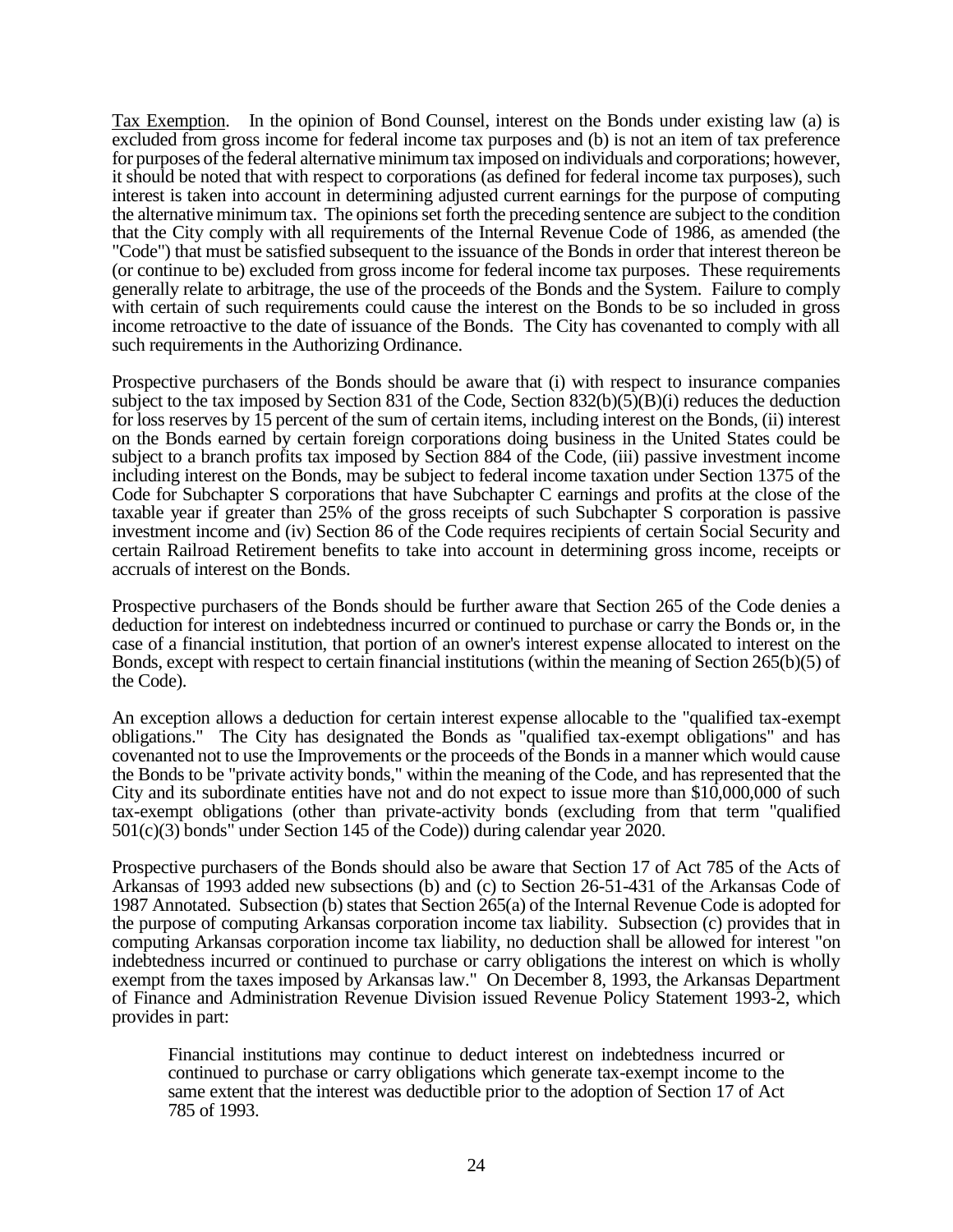Tax Exemption. In the opinion of Bond Counsel, interest on the Bonds under existing law (a) is excluded from gross income for federal income tax purposes and (b) is not an item of tax preference for purposes of the federal alternative minimum tax imposed on individuals and corporations; however, it should be noted that with respect to corporations (as defined for federal income tax purposes), such interest is taken into account in determining adjusted current earnings for the purpose of computing the alternative minimum tax. The opinions set forth the preceding sentence are subject to the condition that the City comply with all requirements of the Internal Revenue Code of 1986, as amended (the "Code") that must be satisfied subsequent to the issuance of the Bonds in order that interest thereon be (or continue to be) excluded from gross income for federal income tax purposes. These requirements generally relate to arbitrage, the use of the proceeds of the Bonds and the System. Failure to comply with certain of such requirements could cause the interest on the Bonds to be so included in gross income retroactive to the date of issuance of the Bonds. The City has covenanted to comply with all such requirements in the Authorizing Ordinance.

Prospective purchasers of the Bonds should be aware that (i) with respect to insurance companies subject to the tax imposed by Section 831 of the Code, Section 832(b)(5)(B)(i) reduces the deduction for loss reserves by 15 percent of the sum of certain items, including interest on the Bonds, (ii) interest on the Bonds earned by certain foreign corporations doing business in the United States could be subject to a branch profits tax imposed by Section 884 of the Code, (iii) passive investment income including interest on the Bonds, may be subject to federal income taxation under Section 1375 of the Code for Subchapter S corporations that have Subchapter C earnings and profits at the close of the taxable year if greater than 25% of the gross receipts of such Subchapter S corporation is passive investment income and (iv) Section 86 of the Code requires recipients of certain Social Security and certain Railroad Retirement benefits to take into account in determining gross income, receipts or accruals of interest on the Bonds.

Prospective purchasers of the Bonds should be further aware that Section 265 of the Code denies a deduction for interest on indebtedness incurred or continued to purchase or carry the Bonds or, in the case of a financial institution, that portion of an owner's interest expense allocated to interest on the Bonds, except with respect to certain financial institutions (within the meaning of Section 265(b)(5) of the Code).

An exception allows a deduction for certain interest expense allocable to the "qualified tax-exempt obligations." The City has designated the Bonds as "qualified tax-exempt obligations" and has covenanted not to use the Improvements or the proceeds of the Bonds in a manner which would cause the Bonds to be "private activity bonds," within the meaning of the Code, and has represented that the City and its subordinate entities have not and do not expect to issue more than \$10,000,000 of such tax-exempt obligations (other than private-activity bonds (excluding from that term "qualified 501(c)(3) bonds" under Section 145 of the Code)) during calendar year 2020.

Prospective purchasers of the Bonds should also be aware that Section 17 of Act 785 of the Acts of Arkansas of 1993 added new subsections (b) and (c) to Section 26-51-431 of the Arkansas Code of 1987 Annotated. Subsection (b) states that Section 265(a) of the Internal Revenue Code is adopted for the purpose of computing Arkansas corporation income tax liability. Subsection (c) provides that in computing Arkansas corporation income tax liability, no deduction shall be allowed for interest "on indebtedness incurred or continued to purchase or carry obligations the interest on which is wholly exempt from the taxes imposed by Arkansas law." On December 8, 1993, the Arkansas Department of Finance and Administration Revenue Division issued Revenue Policy Statement 1993-2, which provides in part:

Financial institutions may continue to deduct interest on indebtedness incurred or continued to purchase or carry obligations which generate tax-exempt income to the same extent that the interest was deductible prior to the adoption of Section 17 of Act 785 of 1993.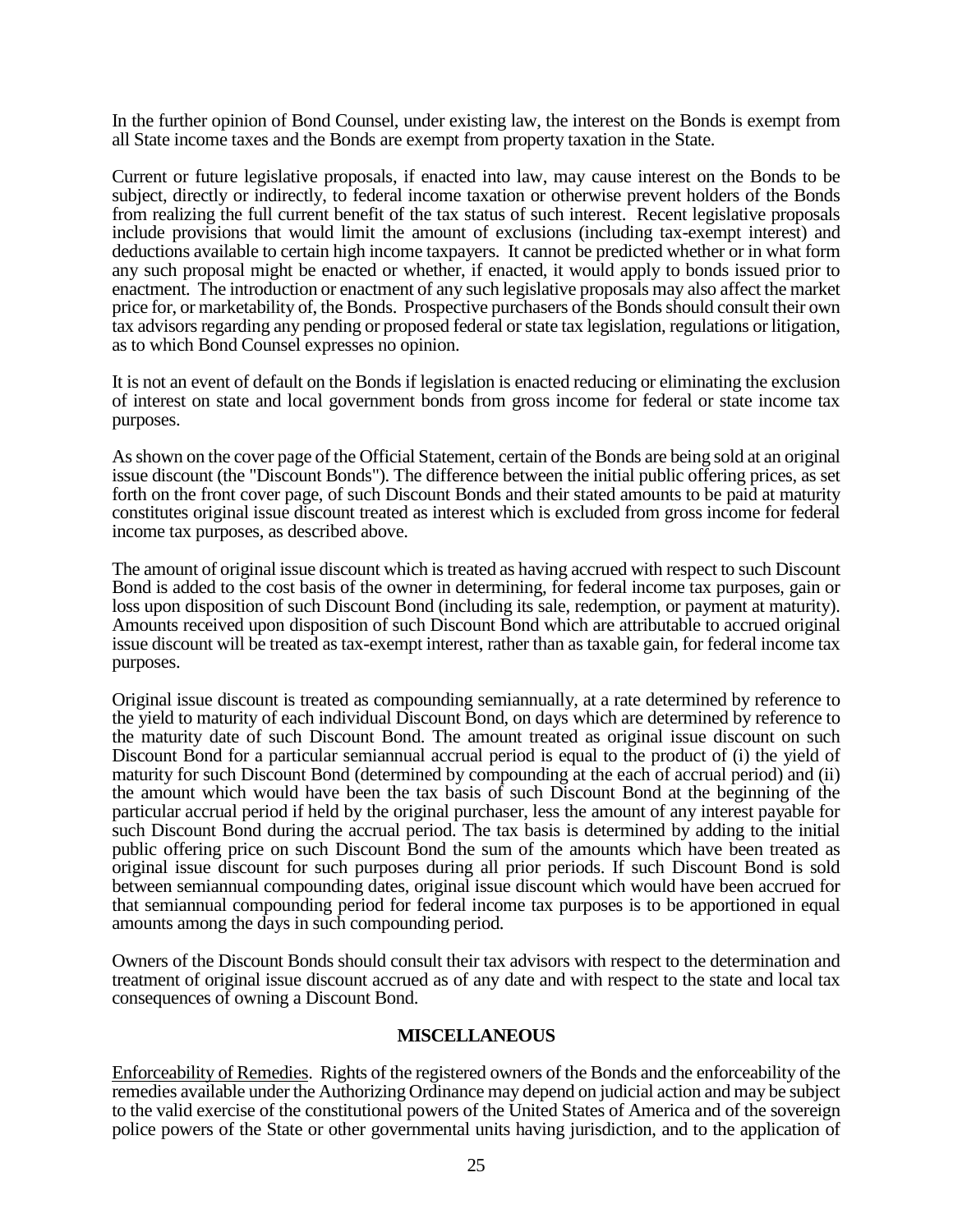In the further opinion of Bond Counsel, under existing law, the interest on the Bonds is exempt from all State income taxes and the Bonds are exempt from property taxation in the State.

Current or future legislative proposals, if enacted into law, may cause interest on the Bonds to be subject, directly or indirectly, to federal income taxation or otherwise prevent holders of the Bonds from realizing the full current benefit of the tax status of such interest. Recent legislative proposals include provisions that would limit the amount of exclusions (including tax-exempt interest) and deductions available to certain high income taxpayers. It cannot be predicted whether or in what form any such proposal might be enacted or whether, if enacted, it would apply to bonds issued prior to enactment. The introduction or enactment of any such legislative proposals may also affect the market price for, or marketability of, the Bonds. Prospective purchasers of the Bonds should consult their own tax advisors regarding any pending or proposed federal or state tax legislation, regulations or litigation, as to which Bond Counsel expresses no opinion.

It is not an event of default on the Bonds if legislation is enacted reducing or eliminating the exclusion of interest on state and local government bonds from gross income for federal or state income tax purposes.

As shown on the cover page of the Official Statement, certain of the Bonds are being sold at an original issue discount (the "Discount Bonds"). The difference between the initial public offering prices, as set forth on the front cover page, of such Discount Bonds and their stated amounts to be paid at maturity constitutes original issue discount treated as interest which is excluded from gross income for federal income tax purposes, as described above.

The amount of original issue discount which is treated as having accrued with respect to such Discount Bond is added to the cost basis of the owner in determining, for federal income tax purposes, gain or loss upon disposition of such Discount Bond (including its sale, redemption, or payment at maturity). Amounts received upon disposition of such Discount Bond which are attributable to accrued original issue discount will be treated as tax-exempt interest, rather than as taxable gain, for federal income tax purposes.

Original issue discount is treated as compounding semiannually, at a rate determined by reference to the yield to maturity of each individual Discount Bond, on days which are determined by reference to the maturity date of such Discount Bond. The amount treated as original issue discount on such Discount Bond for a particular semiannual accrual period is equal to the product of (i) the yield of maturity for such Discount Bond (determined by compounding at the each of accrual period) and (ii) the amount which would have been the tax basis of such Discount Bond at the beginning of the particular accrual period if held by the original purchaser, less the amount of any interest payable for such Discount Bond during the accrual period. The tax basis is determined by adding to the initial public offering price on such Discount Bond the sum of the amounts which have been treated as original issue discount for such purposes during all prior periods. If such Discount Bond is sold between semiannual compounding dates, original issue discount which would have been accrued for that semiannual compounding period for federal income tax purposes is to be apportioned in equal amounts among the days in such compounding period.

Owners of the Discount Bonds should consult their tax advisors with respect to the determination and treatment of original issue discount accrued as of any date and with respect to the state and local tax consequences of owning a Discount Bond.

## **MISCELLANEOUS**

Enforceability of Remedies. Rights of the registered owners of the Bonds and the enforceability of the remedies available under the Authorizing Ordinance may depend on judicial action and may be subject to the valid exercise of the constitutional powers of the United States of America and of the sovereign police powers of the State or other governmental units having jurisdiction, and to the application of